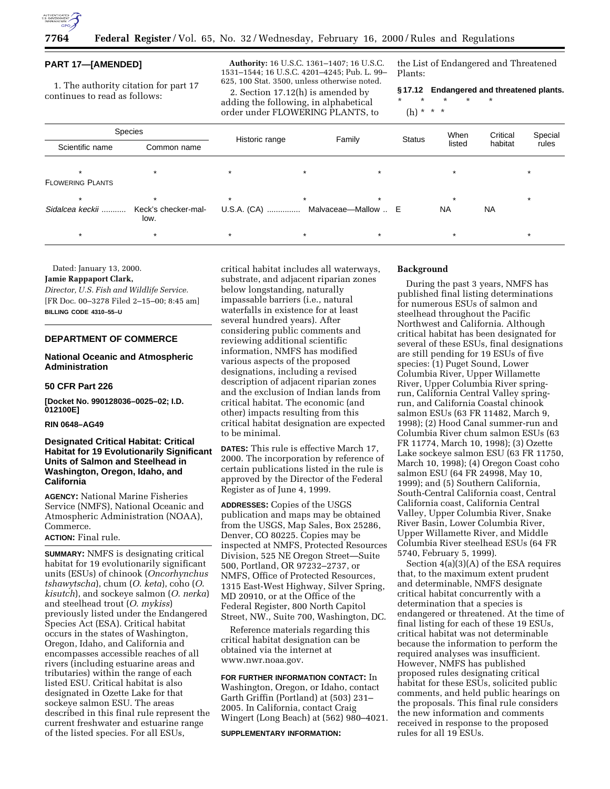

#### **PART 17—[AMENDED]**

1. The authority citation for part 17 continues to read as follows:

**Authority:** 16 U.S.C. 1361–1407; 16 U.S.C. 1531–1544; 16 U.S.C. 4201–4245; Pub. L. 99– 625, 100 Stat. 3500, unless otherwise noted.

2. Section 17.12(h) is amended by adding the following, in alphabetical order under FLOWERING PLANTS, to

the List of Endangered and Threatened Plants:

**§ 17.12 Endangered and threatened plants.** \* \* \* \* \*

(h) \* \* \*

| <b>Species</b>          |                             |                |         |                     |               | When      | Critical  | Special |
|-------------------------|-----------------------------|----------------|---------|---------------------|---------------|-----------|-----------|---------|
| Scientific name         | Common name                 | Historic range |         | Family              | <b>Status</b> | listed    | habitat   | rules   |
| $\star$                 | $\star$                     | $\star$        | $\star$ | $\star$             |               |           |           |         |
| <b>FLOWERING PLANTS</b> |                             |                |         |                     |               |           |           |         |
| $\star$                 | $\star$                     | $\star$        | $\star$ | $\star$             |               |           |           |         |
| Sidalcea keckii         | Keck's checker-mal-<br>low. | U.S.A. (CA)    |         | Malvaceae-Mallow  E |               | <b>NA</b> | <b>NA</b> |         |
| $\star$                 | $\star$                     | $\star$        | $\star$ | $\star$             |               | $\star$   |           | $\star$ |

Dated: January 13, 2000.

### **Jamie Rappaport Clark,**

*Director, U.S. Fish and Wildlife Service.* [FR Doc. 00–3278 Filed 2–15–00; 8:45 am] **BILLING CODE 4310–55–U**

## **DEPARTMENT OF COMMERCE**

### **National Oceanic and Atmospheric Administration**

#### **50 CFR Part 226**

**[Docket No. 990128036–0025–02; I.D. 012100E]**

#### **RIN 0648–AG49**

## **Designated Critical Habitat: Critical Habitat for 19 Evolutionarily Significant Units of Salmon and Steelhead in Washington, Oregon, Idaho, and California**

**AGENCY:** National Marine Fisheries Service (NMFS), National Oceanic and Atmospheric Administration (NOAA), Commerce.

# **ACTION:** Final rule.

**SUMMARY:** NMFS is designating critical habitat for 19 evolutionarily significant units (ESUs) of chinook (*Oncorhynchus tshawytscha*), chum (*O*. *keta*), coho (*O*. *kisutch*), and sockeye salmon (*O*. *nerka*) and steelhead trout (*O*. *mykiss*) previously listed under the Endangered Species Act (ESA). Critical habitat occurs in the states of Washington, Oregon, Idaho, and California and encompasses accessible reaches of all rivers (including estuarine areas and tributaries) within the range of each listed ESU. Critical habitat is also designated in Ozette Lake for that sockeye salmon ESU. The areas described in this final rule represent the current freshwater and estuarine range of the listed species. For all ESUs,

critical habitat includes all waterways, substrate, and adjacent riparian zones below longstanding, naturally impassable barriers (i.e., natural waterfalls in existence for at least several hundred years). After considering public comments and reviewing additional scientific information, NMFS has modified various aspects of the proposed designations, including a revised description of adjacent riparian zones and the exclusion of Indian lands from critical habitat. The economic (and other) impacts resulting from this critical habitat designation are expected to be minimal.

**DATES:** This rule is effective March 17, 2000. The incorporation by reference of certain publications listed in the rule is approved by the Director of the Federal Register as of June 4, 1999.

**ADDRESSES:** Copies of the USGS publication and maps may be obtained from the USGS, Map Sales, Box 25286, Denver, CO 80225. Copies may be inspected at NMFS, Protected Resources Division, 525 NE Oregon Street—Suite 500, Portland, OR 97232–2737, or NMFS, Office of Protected Resources, 1315 East-West Highway, Silver Spring, MD 20910, or at the Office of the Federal Register, 800 North Capitol Street, NW., Suite 700, Washington, DC.

Reference materials regarding this critical habitat designation can be obtained via the internet at www.nwr.noaa.gov.

# **FOR FURTHER INFORMATION CONTACT:** In Washington, Oregon, or Idaho, contact Garth Griffin (Portland) at (503) 231– 2005. In California, contact Craig Wingert (Long Beach) at (562) 980–4021.

**SUPPLEMENTARY INFORMATION:**

## **Background**

During the past 3 years, NMFS has published final listing determinations for numerous ESUs of salmon and steelhead throughout the Pacific Northwest and California. Although critical habitat has been designated for several of these ESUs, final designations are still pending for 19 ESUs of five species: (1) Puget Sound, Lower Columbia River, Upper Willamette River, Upper Columbia River springrun, California Central Valley springrun, and California Coastal chinook salmon ESUs (63 FR 11482, March 9, 1998); (2) Hood Canal summer-run and Columbia River chum salmon ESUs (63 FR 11774, March 10, 1998); (3) Ozette Lake sockeye salmon ESU (63 FR 11750, March 10, 1998); (4) Oregon Coast coho salmon ESU (64 FR 24998, May 10, 1999); and (5) Southern California, South-Central California coast, Central California coast, California Central Valley, Upper Columbia River, Snake River Basin, Lower Columbia River, Upper Willamette River, and Middle Columbia River steelhead ESUs (64 FR 5740, February 5, 1999).

Section 4(a)(3)(A) of the ESA requires that, to the maximum extent prudent and determinable, NMFS designate critical habitat concurrently with a determination that a species is endangered or threatened. At the time of final listing for each of these 19 ESUs, critical habitat was not determinable because the information to perform the required analyses was insufficient. However, NMFS has published proposed rules designating critical habitat for these ESUs, solicited public comments, and held public hearings on the proposals. This final rule considers the new information and comments received in response to the proposed rules for all 19 ESUs.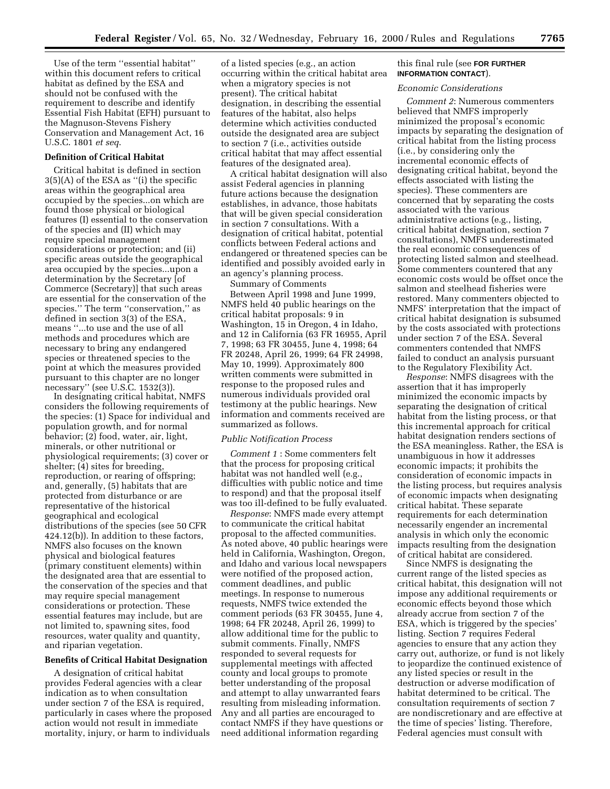Use of the term ''essential habitat'' within this document refers to critical habitat as defined by the ESA and should not be confused with the requirement to describe and identify Essential Fish Habitat (EFH) pursuant to the Magnuson-Stevens Fishery Conservation and Management Act, 16 U.S.C. 1801 *et seq*.

# **Definition of Critical Habitat**

Critical habitat is defined in section  $3(5)(A)$  of the ESA as "(i) the specific areas within the geographical area occupied by the species...on which are found those physical or biological features (I) essential to the conservation of the species and (II) which may require special management considerations or protection; and (ii) specific areas outside the geographical area occupied by the species...upon a determination by the Secretary [of Commerce (Secretary)] that such areas are essential for the conservation of the species." The term "conservation," as defined in section 3(3) of the ESA, means ''...to use and the use of all methods and procedures which are necessary to bring any endangered species or threatened species to the point at which the measures provided pursuant to this chapter are no longer necessary'' (see U.S.C. 1532(3)).

In designating critical habitat, NMFS considers the following requirements of the species: (1) Space for individual and population growth, and for normal behavior; (2) food, water, air, light, minerals, or other nutritional or physiological requirements; (3) cover or shelter; (4) sites for breeding, reproduction, or rearing of offspring; and, generally, (5) habitats that are protected from disturbance or are representative of the historical geographical and ecological distributions of the species (see 50 CFR 424.12(b)). In addition to these factors, NMFS also focuses on the known physical and biological features (primary constituent elements) within the designated area that are essential to the conservation of the species and that may require special management considerations or protection. These essential features may include, but are not limited to, spawning sites, food resources, water quality and quantity, and riparian vegetation.

## **Benefits of Critical Habitat Designation**

A designation of critical habitat provides Federal agencies with a clear indication as to when consultation under section 7 of the ESA is required, particularly in cases where the proposed action would not result in immediate mortality, injury, or harm to individuals

of a listed species (e.g., an action occurring within the critical habitat area when a migratory species is not present). The critical habitat designation, in describing the essential features of the habitat, also helps determine which activities conducted outside the designated area are subject to section 7 (i.e., activities outside critical habitat that may affect essential features of the designated area).

A critical habitat designation will also assist Federal agencies in planning future actions because the designation establishes, in advance, those habitats that will be given special consideration in section 7 consultations. With a designation of critical habitat, potential conflicts between Federal actions and endangered or threatened species can be identified and possibly avoided early in an agency's planning process.

Summary of Comments

Between April 1998 and June 1999, NMFS held 40 public hearings on the critical habitat proposals: 9 in Washington, 15 in Oregon, 4 in Idaho, and 12 in California (63 FR 16955, April 7, 1998; 63 FR 30455, June 4, 1998; 64 FR 20248, April 26, 1999; 64 FR 24998, May 10, 1999). Approximately 800 written comments were submitted in response to the proposed rules and numerous individuals provided oral testimony at the public hearings. New information and comments received are summarized as follows.

#### *Public Notification Process*

*Comment 1* : Some commenters felt that the process for proposing critical habitat was not handled well (e.g., difficulties with public notice and time to respond) and that the proposal itself was too ill-defined to be fully evaluated.

*Response*: NMFS made every attempt to communicate the critical habitat proposal to the affected communities. As noted above, 40 public hearings were held in California, Washington, Oregon, and Idaho and various local newspapers were notified of the proposed action, comment deadlines, and public meetings. In response to numerous requests, NMFS twice extended the comment periods (63 FR 30455, June 4, 1998; 64 FR 20248, April 26, 1999) to allow additional time for the public to submit comments. Finally, NMFS responded to several requests for supplemental meetings with affected county and local groups to promote better understanding of the proposal and attempt to allay unwarranted fears resulting from misleading information. Any and all parties are encouraged to contact NMFS if they have questions or need additional information regarding

#### this final rule (see **FOR FURTHER INFORMATION CONTACT**).

#### *Economic Considerations*

*Comment 2*: Numerous commenters believed that NMFS improperly minimized the proposal's economic impacts by separating the designation of critical habitat from the listing process (i.e., by considering only the incremental economic effects of designating critical habitat, beyond the effects associated with listing the species). These commenters are concerned that by separating the costs associated with the various administrative actions (e.g., listing, critical habitat designation, section 7 consultations), NMFS underestimated the real economic consequences of protecting listed salmon and steelhead. Some commenters countered that any economic costs would be offset once the salmon and steelhead fisheries were restored. Many commenters objected to NMFS' interpretation that the impact of critical habitat designation is subsumed by the costs associated with protections under section 7 of the ESA. Several commenters contended that NMFS failed to conduct an analysis pursuant to the Regulatory Flexibility Act.

*Response*: NMFS disagrees with the assertion that it has improperly minimized the economic impacts by separating the designation of critical habitat from the listing process, or that this incremental approach for critical habitat designation renders sections of the ESA meaningless. Rather, the ESA is unambiguous in how it addresses economic impacts; it prohibits the consideration of economic impacts in the listing process, but requires analysis of economic impacts when designating critical habitat. These separate requirements for each determination necessarily engender an incremental analysis in which only the economic impacts resulting from the designation of critical habitat are considered.

Since NMFS is designating the current range of the listed species as critical habitat, this designation will not impose any additional requirements or economic effects beyond those which already accrue from section 7 of the ESA, which is triggered by the species' listing. Section 7 requires Federal agencies to ensure that any action they carry out, authorize, or fund is not likely to jeopardize the continued existence of any listed species or result in the destruction or adverse modification of habitat determined to be critical. The consultation requirements of section 7 are nondiscretionary and are effective at the time of species' listing. Therefore, Federal agencies must consult with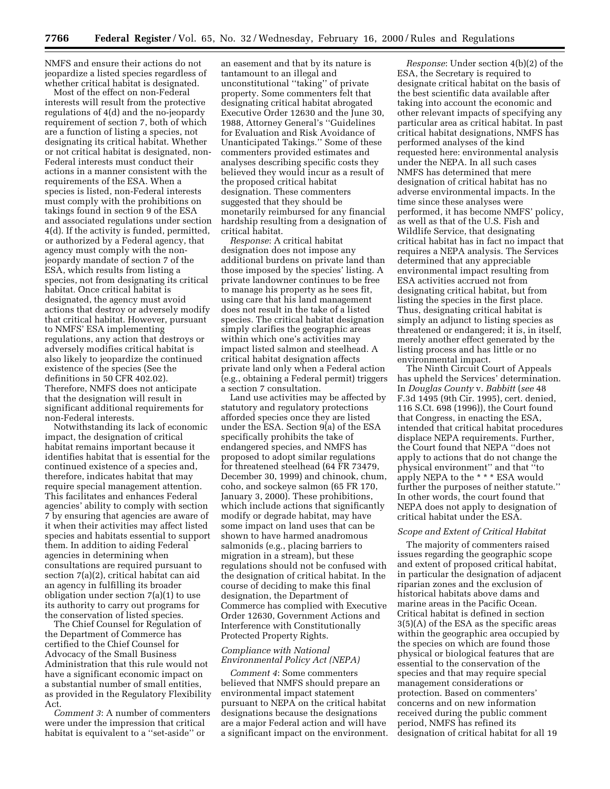NMFS and ensure their actions do not jeopardize a listed species regardless of whether critical habitat is designated.

Most of the effect on non-Federal interests will result from the protective regulations of 4(d) and the no-jeopardy requirement of section 7, both of which are a function of listing a species, not designating its critical habitat. Whether or not critical habitat is designated, non-Federal interests must conduct their actions in a manner consistent with the requirements of the ESA. When a species is listed, non-Federal interests must comply with the prohibitions on takings found in section 9 of the ESA and associated regulations under section 4(d). If the activity is funded, permitted, or authorized by a Federal agency, that agency must comply with the nonjeopardy mandate of section 7 of the ESA, which results from listing a species, not from designating its critical habitat. Once critical habitat is designated, the agency must avoid actions that destroy or adversely modify that critical habitat. However, pursuant to NMFS' ESA implementing regulations, any action that destroys or adversely modifies critical habitat is also likely to jeopardize the continued existence of the species (See the definitions in 50 CFR 402.02). Therefore, NMFS does not anticipate that the designation will result in significant additional requirements for non-Federal interests.

Notwithstanding its lack of economic impact, the designation of critical habitat remains important because it identifies habitat that is essential for the continued existence of a species and, therefore, indicates habitat that may require special management attention. This facilitates and enhances Federal agencies' ability to comply with section 7 by ensuring that agencies are aware of it when their activities may affect listed species and habitats essential to support them. In addition to aiding Federal agencies in determining when consultations are required pursuant to section 7(a)(2), critical habitat can aid an agency in fulfilling its broader obligation under section 7(a)(1) to use its authority to carry out programs for the conservation of listed species.

The Chief Counsel for Regulation of the Department of Commerce has certified to the Chief Counsel for Advocacy of the Small Business Administration that this rule would not have a significant economic impact on a substantial number of small entities, as provided in the Regulatory Flexibility Act.

*Comment 3*: A number of commenters were under the impression that critical habitat is equivalent to a ''set-aside'' or

an easement and that by its nature is tantamount to an illegal and unconstitutional ''taking'' of private property. Some commenters felt that designating critical habitat abrogated Executive Order 12630 and the June 30, 1988, Attorney General's ''Guidelines for Evaluation and Risk Avoidance of Unanticipated Takings.'' Some of these commenters provided estimates and analyses describing specific costs they believed they would incur as a result of the proposed critical habitat designation. These commenters suggested that they should be monetarily reimbursed for any financial hardship resulting from a designation of critical habitat.

*Response*: A critical habitat designation does not impose any additional burdens on private land than those imposed by the species' listing. A private landowner continues to be free to manage his property as he sees fit, using care that his land management does not result in the take of a listed species. The critical habitat designation simply clarifies the geographic areas within which one's activities may impact listed salmon and steelhead. A critical habitat designation affects private land only when a Federal action (e.g., obtaining a Federal permit) triggers a section 7 consultation.

Land use activities may be affected by statutory and regulatory protections afforded species once they are listed under the ESA. Section 9(a) of the ESA specifically prohibits the take of endangered species, and NMFS has proposed to adopt similar regulations for threatened steelhead (64 FR 73479, December 30, 1999) and chinook, chum, coho, and sockeye salmon (65 FR 170, January 3, 2000). These prohibitions, which include actions that significantly modify or degrade habitat, may have some impact on land uses that can be shown to have harmed anadromous salmonids (e.g., placing barriers to migration in a stream), but these regulations should not be confused with the designation of critical habitat. In the course of deciding to make this final designation, the Department of Commerce has complied with Executive Order 12630, Government Actions and Interference with Constitutionally Protected Property Rights.

# *Compliance with National Environmental Policy Act (NEPA)*

*Comment 4*: Some commenters believed that NMFS should prepare an environmental impact statement pursuant to NEPA on the critical habitat designations because the designations are a major Federal action and will have a significant impact on the environment.

*Response*: Under section 4(b)(2) of the ESA, the Secretary is required to designate critical habitat on the basis of the best scientific data available after taking into account the economic and other relevant impacts of specifying any particular area as critical habitat. In past critical habitat designations, NMFS has performed analyses of the kind requested here: environmental analysis under the NEPA. In all such cases NMFS has determined that mere designation of critical habitat has no adverse environmental impacts. In the time since these analyses were performed, it has become NMFS' policy, as well as that of the U.S. Fish and Wildlife Service, that designating critical habitat has in fact no impact that requires a NEPA analysis. The Services determined that any appreciable environmental impact resulting from ESA activities accrued not from designating critical habitat, but from listing the species in the first place. Thus, designating critical habitat is simply an adjunct to listing species as threatened or endangered; it is, in itself, merely another effect generated by the listing process and has little or no environmental impact.

The Ninth Circuit Court of Appeals has upheld the Services' determination. In *Douglas County* v. *Babbitt* (*see* 48 F.3d 1495 (9th Cir. 1995), cert. denied, 116 S.Ct. 698 (1996)), the Court found that Congress, in enacting the ESA, intended that critical habitat procedures displace NEPA requirements. Further, the Court found that NEPA ''does not apply to actions that do not change the physical environment'' and that ''to apply NEPA to the \* \* \* ESA would further the purposes of neither statute.'' In other words, the court found that NEPA does not apply to designation of critical habitat under the ESA.

### *Scope and Extent of Critical Habitat*

The majority of commenters raised issues regarding the geographic scope and extent of proposed critical habitat, in particular the designation of adjacent riparian zones and the exclusion of historical habitats above dams and marine areas in the Pacific Ocean. Critical habitat is defined in section 3(5)(A) of the ESA as the specific areas within the geographic area occupied by the species on which are found those physical or biological features that are essential to the conservation of the species and that may require special management considerations or protection. Based on commenters' concerns and on new information received during the public comment period, NMFS has refined its designation of critical habitat for all 19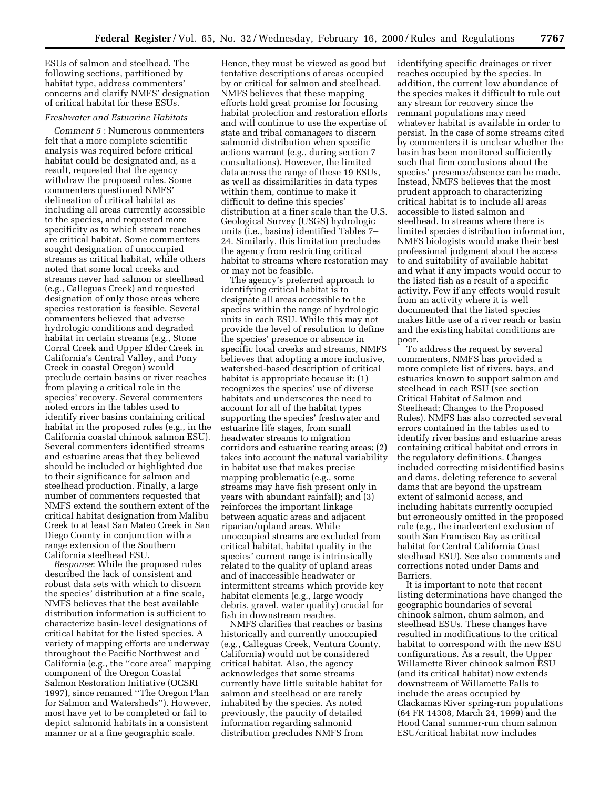ESUs of salmon and steelhead. The following sections, partitioned by habitat type, address commenters' concerns and clarify NMFS' designation of critical habitat for these ESUs.

## *Freshwater and Estuarine Habitats*

*Comment 5* : Numerous commenters felt that a more complete scientific analysis was required before critical habitat could be designated and, as a result, requested that the agency withdraw the proposed rules. Some commenters questioned NMFS' delineation of critical habitat as including all areas currently accessible to the species, and requested more specificity as to which stream reaches are critical habitat. Some commenters sought designation of unoccupied streams as critical habitat, while others noted that some local creeks and streams never had salmon or steelhead (e.g., Calleguas Creek) and requested designation of only those areas where species restoration is feasible. Several commenters believed that adverse hydrologic conditions and degraded habitat in certain streams (e.g., Stone Corral Creek and Upper Elder Creek in California's Central Valley, and Pony Creek in coastal Oregon) would preclude certain basins or river reaches from playing a critical role in the species' recovery. Several commenters noted errors in the tables used to identify river basins containing critical habitat in the proposed rules (e.g., in the California coastal chinook salmon ESU). Several commenters identified streams and estuarine areas that they believed should be included or highlighted due to their significance for salmon and steelhead production. Finally, a large number of commenters requested that NMFS extend the southern extent of the critical habitat designation from Malibu Creek to at least San Mateo Creek in San Diego County in conjunction with a range extension of the Southern California steelhead ESU.

*Response*: While the proposed rules described the lack of consistent and robust data sets with which to discern the species' distribution at a fine scale, NMFS believes that the best available distribution information is sufficient to characterize basin-level designations of critical habitat for the listed species. A variety of mapping efforts are underway throughout the Pacific Northwest and California (e.g., the ''core area'' mapping component of the Oregon Coastal Salmon Restoration Initiative (OCSRI 1997), since renamed ''The Oregon Plan for Salmon and Watersheds''). However, most have yet to be completed or fail to depict salmonid habitats in a consistent manner or at a fine geographic scale.

Hence, they must be viewed as good but tentative descriptions of areas occupied by or critical for salmon and steelhead. NMFS believes that these mapping efforts hold great promise for focusing habitat protection and restoration efforts and will continue to use the expertise of state and tribal comanagers to discern salmonid distribution when specific actions warrant (e.g., during section 7 consultations). However, the limited data across the range of these 19 ESUs, as well as dissimilarities in data types within them, continue to make it difficult to define this species' distribution at a finer scale than the U.S. Geological Survey (USGS) hydrologic units (i.e., basins) identified Tables 7– 24. Similarly, this limitation precludes the agency from restricting critical habitat to streams where restoration may or may not be feasible.

The agency's preferred approach to identifying critical habitat is to designate all areas accessible to the species within the range of hydrologic units in each ESU. While this may not provide the level of resolution to define the species' presence or absence in specific local creeks and streams, NMFS believes that adopting a more inclusive, watershed-based description of critical habitat is appropriate because it: (1) recognizes the species' use of diverse habitats and underscores the need to account for all of the habitat types supporting the species' freshwater and estuarine life stages, from small headwater streams to migration corridors and estuarine rearing areas; (2) takes into account the natural variability in habitat use that makes precise mapping problematic (e.g., some streams may have fish present only in years with abundant rainfall); and (3) reinforces the important linkage between aquatic areas and adjacent riparian/upland areas. While unoccupied streams are excluded from critical habitat, habitat quality in the species' current range is intrinsically related to the quality of upland areas and of inaccessible headwater or intermittent streams which provide key habitat elements (e.g., large woody debris, gravel, water quality) crucial for fish in downstream reaches.

NMFS clarifies that reaches or basins historically and currently unoccupied (e.g., Calleguas Creek, Ventura County, California) would not be considered critical habitat. Also, the agency acknowledges that some streams currently have little suitable habitat for salmon and steelhead or are rarely inhabited by the species. As noted previously, the paucity of detailed information regarding salmonid distribution precludes NMFS from

identifying specific drainages or river reaches occupied by the species. In addition, the current low abundance of the species makes it difficult to rule out any stream for recovery since the remnant populations may need whatever habitat is available in order to persist. In the case of some streams cited by commenters it is unclear whether the basin has been monitored sufficiently such that firm conclusions about the species' presence/absence can be made. Instead, NMFS believes that the most prudent approach to characterizing critical habitat is to include all areas accessible to listed salmon and steelhead. In streams where there is limited species distribution information, NMFS biologists would make their best professional judgment about the access to and suitability of available habitat and what if any impacts would occur to the listed fish as a result of a specific activity. Few if any effects would result from an activity where it is well documented that the listed species makes little use of a river reach or basin and the existing habitat conditions are poor.

To address the request by several commenters, NMFS has provided a more complete list of rivers, bays, and estuaries known to support salmon and steelhead in each ESU (see section Critical Habitat of Salmon and Steelhead; Changes to the Proposed Rules). NMFS has also corrected several errors contained in the tables used to identify river basins and estuarine areas containing critical habitat and errors in the regulatory definitions. Changes included correcting misidentified basins and dams, deleting reference to several dams that are beyond the upstream extent of salmonid access, and including habitats currently occupied but erroneously omitted in the proposed rule (e.g., the inadvertent exclusion of south San Francisco Bay as critical habitat for Central California Coast steelhead ESU). See also comments and corrections noted under Dams and Barriers.

It is important to note that recent listing determinations have changed the geographic boundaries of several chinook salmon, chum salmon, and steelhead ESUs. These changes have resulted in modifications to the critical habitat to correspond with the new ESU configurations. As a result, the Upper Willamette River chinook salmon ESU (and its critical habitat) now extends downstream of Willamette Falls to include the areas occupied by Clackamas River spring-run populations (64 FR 14308, March 24, 1999) and the Hood Canal summer-run chum salmon ESU/critical habitat now includes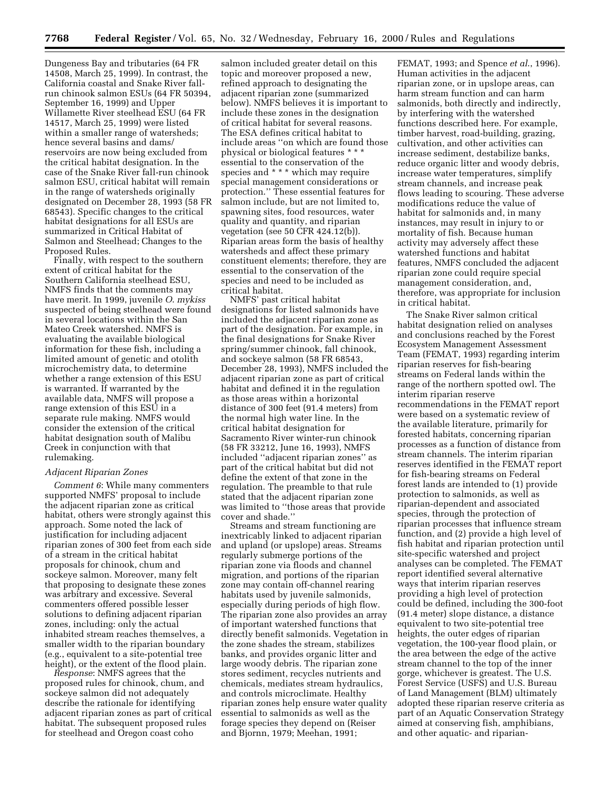Dungeness Bay and tributaries (64 FR 14508, March 25, 1999). In contrast, the California coastal and Snake River fallrun chinook salmon ESUs (64 FR 50394, September 16, 1999) and Upper Willamette River steelhead ESU (64 FR 14517, March 25, 1999) were listed within a smaller range of watersheds; hence several basins and dams/ reservoirs are now being excluded from the critical habitat designation. In the case of the Snake River fall-run chinook salmon ESU, critical habitat will remain in the range of watersheds originally designated on December 28, 1993 (58 FR 68543). Specific changes to the critical habitat designations for all ESUs are summarized in Critical Habitat of Salmon and Steelhead; Changes to the Proposed Rules.

Finally, with respect to the southern extent of critical habitat for the Southern California steelhead ESU, NMFS finds that the comments may have merit. In 1999, juvenile *O*. *mykiss* suspected of being steelhead were found in several locations within the San Mateo Creek watershed. NMFS is evaluating the available biological information for these fish, including a limited amount of genetic and otolith microchemistry data, to determine whether a range extension of this ESU is warranted. If warranted by the available data, NMFS will propose a range extension of this ESU in a separate rule making. NMFS would consider the extension of the critical habitat designation south of Malibu Creek in conjunction with that rulemaking.

#### *Adjacent Riparian Zones*

*Comment 6*: While many commenters supported NMFS' proposal to include the adjacent riparian zone as critical habitat, others were strongly against this approach. Some noted the lack of justification for including adjacent riparian zones of 300 feet from each side of a stream in the critical habitat proposals for chinook, chum and sockeye salmon. Moreover, many felt that proposing to designate these zones was arbitrary and excessive. Several commenters offered possible lesser solutions to defining adjacent riparian zones, including: only the actual inhabited stream reaches themselves, a smaller width to the riparian boundary (e.g., equivalent to a site-potential tree height), or the extent of the flood plain.

*Response*: NMFS agrees that the proposed rules for chinook, chum, and sockeye salmon did not adequately describe the rationale for identifying adjacent riparian zones as part of critical habitat. The subsequent proposed rules for steelhead and Oregon coast coho

salmon included greater detail on this topic and moreover proposed a new, refined approach to designating the adjacent riparian zone (summarized below). NMFS believes it is important to include these zones in the designation of critical habitat for several reasons. The ESA defines critical habitat to include areas ''on which are found those physical or biological features \* \* \* essential to the conservation of the species and \* \* \* which may require special management considerations or protection.'' These essential features for salmon include, but are not limited to, spawning sites, food resources, water quality and quantity, and riparian vegetation (see 50 CFR 424.12(b)). Riparian areas form the basis of healthy watersheds and affect these primary constituent elements; therefore, they are essential to the conservation of the species and need to be included as critical habitat.

NMFS' past critical habitat designations for listed salmonids have included the adjacent riparian zone as part of the designation. For example, in the final designations for Snake River spring/summer chinook, fall chinook, and sockeye salmon (58 FR 68543, December 28, 1993), NMFS included the adjacent riparian zone as part of critical habitat and defined it in the regulation as those areas within a horizontal distance of 300 feet (91.4 meters) from the normal high water line. In the critical habitat designation for Sacramento River winter-run chinook (58 FR 33212, June 16, 1993), NMFS included ''adjacent riparian zones'' as part of the critical habitat but did not define the extent of that zone in the regulation. The preamble to that rule stated that the adjacent riparian zone was limited to ''those areas that provide cover and shade.''

Streams and stream functioning are inextricably linked to adjacent riparian and upland (or upslope) areas. Streams regularly submerge portions of the riparian zone via floods and channel migration, and portions of the riparian zone may contain off-channel rearing habitats used by juvenile salmonids, especially during periods of high flow. The riparian zone also provides an array of important watershed functions that directly benefit salmonids. Vegetation in the zone shades the stream, stabilizes banks, and provides organic litter and large woody debris. The riparian zone stores sediment, recycles nutrients and chemicals, mediates stream hydraulics, and controls microclimate. Healthy riparian zones help ensure water quality essential to salmonids as well as the forage species they depend on (Reiser and Bjornn, 1979; Meehan, 1991;

FEMAT, 1993; and Spence *et al*., 1996). Human activities in the adjacent riparian zone, or in upslope areas, can harm stream function and can harm salmonids, both directly and indirectly, by interfering with the watershed functions described here. For example, timber harvest, road-building, grazing, cultivation, and other activities can increase sediment, destabilize banks, reduce organic litter and woody debris, increase water temperatures, simplify stream channels, and increase peak flows leading to scouring. These adverse modifications reduce the value of habitat for salmonids and, in many instances, may result in injury to or mortality of fish. Because human activity may adversely affect these watershed functions and habitat features, NMFS concluded the adjacent riparian zone could require special management consideration, and, therefore, was appropriate for inclusion in critical habitat.

The Snake River salmon critical habitat designation relied on analyses and conclusions reached by the Forest Ecosystem Management Assessment Team (FEMAT, 1993) regarding interim riparian reserves for fish-bearing streams on Federal lands within the range of the northern spotted owl. The interim riparian reserve recommendations in the FEMAT report were based on a systematic review of the available literature, primarily for forested habitats, concerning riparian processes as a function of distance from stream channels. The interim riparian reserves identified in the FEMAT report for fish-bearing streams on Federal forest lands are intended to (1) provide protection to salmonids, as well as riparian-dependent and associated species, through the protection of riparian processes that influence stream function, and (2) provide a high level of fish habitat and riparian protection until site-specific watershed and project analyses can be completed. The FEMAT report identified several alternative ways that interim riparian reserves providing a high level of protection could be defined, including the 300-foot (91.4 meter) slope distance, a distance equivalent to two site-potential tree heights, the outer edges of riparian vegetation, the 100-year flood plain, or the area between the edge of the active stream channel to the top of the inner gorge, whichever is greatest. The U.S. Forest Service (USFS) and U.S. Bureau of Land Management (BLM) ultimately adopted these riparian reserve criteria as part of an Aquatic Conservation Strategy aimed at conserving fish, amphibians, and other aquatic- and riparian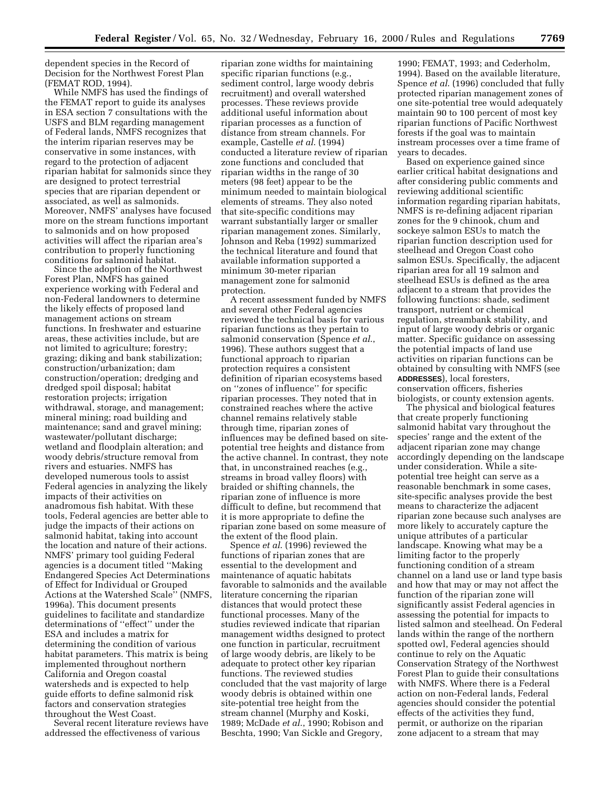dependent species in the Record of Decision for the Northwest Forest Plan (FEMAT ROD, 1994).

While NMFS has used the findings of the FEMAT report to guide its analyses in ESA section 7 consultations with the USFS and BLM regarding management of Federal lands, NMFS recognizes that the interim riparian reserves may be conservative in some instances, with regard to the protection of adjacent riparian habitat for salmonids since they are designed to protect terrestrial species that are riparian dependent or associated, as well as salmonids. Moreover, NMFS' analyses have focused more on the stream functions important to salmonids and on how proposed activities will affect the riparian area's contribution to properly functioning conditions for salmonid habitat.

Since the adoption of the Northwest Forest Plan, NMFS has gained experience working with Federal and non-Federal landowners to determine the likely effects of proposed land management actions on stream functions. In freshwater and estuarine areas, these activities include, but are not limited to agriculture; forestry; grazing; diking and bank stabilization; construction/urbanization; dam construction/operation; dredging and dredged spoil disposal; habitat restoration projects; irrigation withdrawal, storage, and management; mineral mining; road building and maintenance; sand and gravel mining; wastewater/pollutant discharge; wetland and floodplain alteration; and woody debris/structure removal from rivers and estuaries. NMFS has developed numerous tools to assist Federal agencies in analyzing the likely impacts of their activities on anadromous fish habitat. With these tools, Federal agencies are better able to judge the impacts of their actions on salmonid habitat, taking into account the location and nature of their actions. NMFS' primary tool guiding Federal agencies is a document titled ''Making Endangered Species Act Determinations of Effect for Individual or Grouped Actions at the Watershed Scale'' (NMFS, 1996a). This document presents guidelines to facilitate and standardize determinations of ''effect'' under the ESA and includes a matrix for determining the condition of various habitat parameters. This matrix is being implemented throughout northern California and Oregon coastal watersheds and is expected to help guide efforts to define salmonid risk factors and conservation strategies throughout the West Coast.

Several recent literature reviews have addressed the effectiveness of various

riparian zone widths for maintaining specific riparian functions (e.g., sediment control, large woody debris recruitment) and overall watershed processes. These reviews provide additional useful information about riparian processes as a function of distance from stream channels. For example, Castelle *et al*. (1994) conducted a literature review of riparian zone functions and concluded that riparian widths in the range of 30 meters (98 feet) appear to be the minimum needed to maintain biological elements of streams. They also noted that site-specific conditions may warrant substantially larger or smaller riparian management zones. Similarly, Johnson and Reba (1992) summarized the technical literature and found that available information supported a minimum 30-meter riparian management zone for salmonid protection.

A recent assessment funded by NMFS and several other Federal agencies reviewed the technical basis for various riparian functions as they pertain to salmonid conservation (Spence *et al*., 1996). These authors suggest that a functional approach to riparian protection requires a consistent definition of riparian ecosystems based on ''zones of influence'' for specific riparian processes. They noted that in constrained reaches where the active channel remains relatively stable through time, riparian zones of influences may be defined based on sitepotential tree heights and distance from the active channel. In contrast, they note that, in unconstrained reaches (e.g., streams in broad valley floors) with braided or shifting channels, the riparian zone of influence is more difficult to define, but recommend that it is more appropriate to define the riparian zone based on some measure of the extent of the flood plain.

Spence *et al*. (1996) reviewed the functions of riparian zones that are essential to the development and maintenance of aquatic habitats favorable to salmonids and the available literature concerning the riparian distances that would protect these functional processes. Many of the studies reviewed indicate that riparian management widths designed to protect one function in particular, recruitment of large woody debris, are likely to be adequate to protect other key riparian functions. The reviewed studies concluded that the vast majority of large woody debris is obtained within one site-potential tree height from the stream channel (Murphy and Koski, 1989; McDade *et al*., 1990; Robison and Beschta, 1990; Van Sickle and Gregory,

1990; FEMAT, 1993; and Cederholm, 1994). Based on the available literature, Spence *et al*. (1996) concluded that fully protected riparian management zones of one site-potential tree would adequately maintain 90 to 100 percent of most key riparian functions of Pacific Northwest forests if the goal was to maintain instream processes over a time frame of years to decades.

Based on experience gained since earlier critical habitat designations and after considering public comments and reviewing additional scientific information regarding riparian habitats, NMFS is re-defining adjacent riparian zones for the 9 chinook, chum and sockeye salmon ESUs to match the riparian function description used for steelhead and Oregon Coast coho salmon ESUs. Specifically, the adjacent riparian area for all 19 salmon and steelhead ESUs is defined as the area adjacent to a stream that provides the following functions: shade, sediment transport, nutrient or chemical regulation, streambank stability, and input of large woody debris or organic matter. Specific guidance on assessing the potential impacts of land use activities on riparian functions can be obtained by consulting with NMFS (see **ADDRESSES**), local foresters, conservation officers, fisheries biologists, or county extension agents.

The physical and biological features that create properly functioning salmonid habitat vary throughout the species' range and the extent of the adjacent riparian zone may change accordingly depending on the landscape under consideration. While a sitepotential tree height can serve as a reasonable benchmark in some cases, site-specific analyses provide the best means to characterize the adjacent riparian zone because such analyses are more likely to accurately capture the unique attributes of a particular landscape. Knowing what may be a limiting factor to the properly functioning condition of a stream channel on a land use or land type basis and how that may or may not affect the function of the riparian zone will significantly assist Federal agencies in assessing the potential for impacts to listed salmon and steelhead. On Federal lands within the range of the northern spotted owl, Federal agencies should continue to rely on the Aquatic Conservation Strategy of the Northwest Forest Plan to guide their consultations with NMFS. Where there is a Federal action on non-Federal lands, Federal agencies should consider the potential effects of the activities they fund, permit, or authorize on the riparian zone adjacent to a stream that may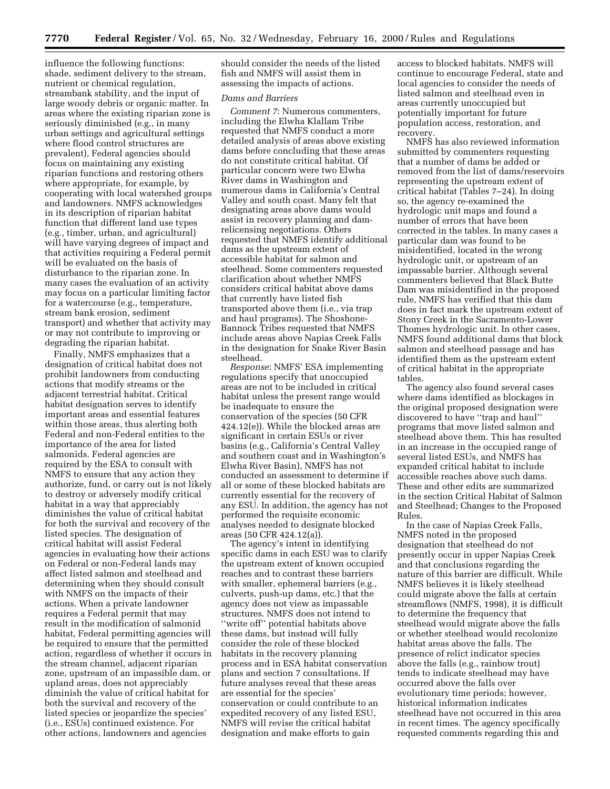influence the following functions: shade, sediment delivery to the stream, nutrient or chemical regulation, streambank stability, and the input of large woody debris or organic matter. In areas where the existing riparian zone is seriously diminished (e.g., in many urban settings and agricultural settings where flood control structures are prevalent), Federal agencies should focus on maintaining any existing riparian functions and restoring others where appropriate, for example, by cooperating with local watershed groups and landowners. NMFS acknowledges in its description of riparian habitat function that different land use types (e.g., timber, urban, and agricultural) will have varying degrees of impact and that activities requiring a Federal permit will be evaluated on the basis of disturbance to the riparian zone. In many cases the evaluation of an activity may focus on a particular limiting factor for a watercourse (e.g., temperature, stream bank erosion, sediment transport) and whether that activity may or may not contribute to improving or degrading the riparian habitat.

Finally, NMFS emphasizes that a designation of critical habitat does not prohibit landowners from conducting actions that modify streams or the adjacent terrestrial habitat. Critical habitat designation serves to identify important areas and essential features within those areas, thus alerting both Federal and non-Federal entities to the importance of the area for listed salmonids. Federal agencies are required by the ESA to consult with NMFS to ensure that any action they authorize, fund, or carry out is not likely to destroy or adversely modify critical habitat in a way that appreciably diminishes the value of critical habitat for both the survival and recovery of the listed species. The designation of critical habitat will assist Federal agencies in evaluating how their actions on Federal or non-Federal lands may affect listed salmon and steelhead and determining when they should consult with NMFS on the impacts of their actions. When a private landowner requires a Federal permit that may result in the modification of salmonid habitat, Federal permitting agencies will be required to ensure that the permitted action, regardless of whether it occurs in the stream channel, adjacent riparian zone, upstream of an impassible dam, or upland areas, does not appreciably diminish the value of critical habitat for both the survival and recovery of the listed species or jeopardize the species' (i.e., ESUs) continued existence. For other actions, landowners and agencies

should consider the needs of the listed fish and NMFS will assist them in assessing the impacts of actions.

## *Dams and Barriers*

*Comment 7*: Numerous commenters, including the Elwha Klallam Tribe requested that NMFS conduct a more detailed analysis of areas above existing dams before concluding that these areas do not constitute critical habitat. Of particular concern were two Elwha River dams in Washington and numerous dams in California's Central Valley and south coast. Many felt that designating areas above dams would assist in recovery planning and damrelicensing negotiations. Others requested that NMFS identify additional dams as the upstream extent of accessible habitat for salmon and steelhead. Some commenters requested clarification about whether NMFS considers critical habitat above dams that currently have listed fish transported above them (i.e., via trap and haul programs). The Shoshone-Bannock Tribes requested that NMFS include areas above Napias Creek Falls in the designation for Snake River Basin steelhead.

*Response*: NMFS' ESA implementing regulations specify that unoccupied areas are not to be included in critical habitat unless the present range would be inadequate to ensure the conservation of the species (50 CFR 424.12(e)). While the blocked areas are significant in certain ESUs or river basins (e.g., California's Central Valley and southern coast and in Washington's Elwha River Basin), NMFS has not conducted an assessment to determine if all or some of these blocked habitats are currently essential for the recovery of any ESU. In addition, the agency has not performed the requisite economic analyses needed to designate blocked areas (50 CFR 424.12(a)).

The agency's intent in identifying specific dams in each ESU was to clarify the upstream extent of known occupied reaches and to contrast these barriers with smaller, ephemeral barriers (e.g., culverts, push-up dams, etc.) that the agency does not view as impassable structures. NMFS does not intend to ''write off'' potential habitats above these dams, but instead will fully consider the role of these blocked habitats in the recovery planning process and in ESA habitat conservation plans and section 7 consultations. If future analyses reveal that these areas are essential for the species' conservation or could contribute to an expedited recovery of any listed ESU, NMFS will revise the critical habitat designation and make efforts to gain

access to blocked habitats. NMFS will continue to encourage Federal, state and local agencies to consider the needs of listed salmon and steelhead even in areas currently unoccupied but potentially important for future population access, restoration, and recovery.

NMFS has also reviewed information submitted by commenters requesting that a number of dams be added or removed from the list of dams/reservoirs representing the upstream extent of critical habitat (Tables 7–24). In doing so, the agency re-examined the hydrologic unit maps and found a number of errors that have been corrected in the tables. In many cases a particular dam was found to be misidentified, located in the wrong hydrologic unit, or upstream of an impassable barrier. Although several commenters believed that Black Butte Dam was misidentified in the proposed rule, NMFS has verified that this dam does in fact mark the upstream extent of Stony Creek in the Sacramento-Lower Thomes hydrologic unit. In other cases, NMFS found additional dams that block salmon and steelhead passage and has identified them as the upstream extent of critical habitat in the appropriate tables.

The agency also found several cases where dams identified as blockages in the original proposed designation were discovered to have ''trap and haul'' programs that move listed salmon and steelhead above them. This has resulted in an increase in the occupied range of several listed ESUs, and NMFS has expanded critical habitat to include accessible reaches above such dams. These and other edits are summarized in the section Critical Habitat of Salmon and Steelhead; Changes to the Proposed Rules.

In the case of Napias Creek Falls, NMFS noted in the proposed designation that steelhead do not presently occur in upper Napias Creek and that conclusions regarding the nature of this barrier are difficult. While NMFS believes it is likely steelhead could migrate above the falls at certain streamflows (NMFS, 1998), it is difficult to determine the frequency that steelhead would migrate above the falls or whether steelhead would recolonize habitat areas above the falls. The presence of relict indicator species above the falls (e.g., rainbow trout) tends to indicate steelhead may have occurred above the falls over evolutionary time periods; however, historical information indicates steelhead have not occurred in this area in recent times. The agency specifically requested comments regarding this and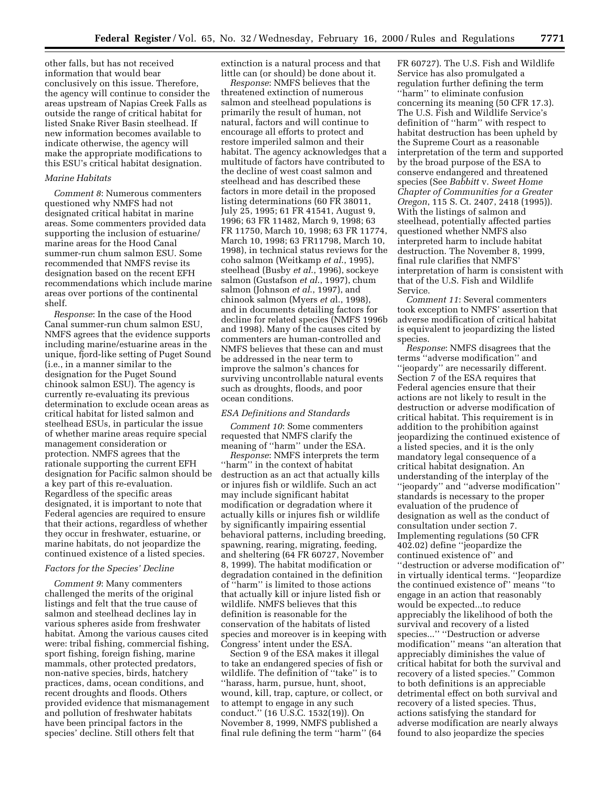other falls, but has not received information that would bear conclusively on this issue. Therefore, the agency will continue to consider the areas upstream of Napias Creek Falls as outside the range of critical habitat for listed Snake River Basin steelhead. If new information becomes available to indicate otherwise, the agency will make the appropriate modifications to this ESU's critical habitat designation.

#### *Marine Habitats*

*Comment 8*: Numerous commenters questioned why NMFS had not designated critical habitat in marine areas. Some commenters provided data supporting the inclusion of estuarine/ marine areas for the Hood Canal summer-run chum salmon ESU. Some recommended that NMFS revise its designation based on the recent EFH recommendations which include marine areas over portions of the continental shelf.

*Response*: In the case of the Hood Canal summer-run chum salmon ESU, NMFS agrees that the evidence supports including marine/estuarine areas in the unique, fjord-like setting of Puget Sound (i.e., in a manner similar to the designation for the Puget Sound chinook salmon ESU). The agency is currently re-evaluating its previous determination to exclude ocean areas as critical habitat for listed salmon and steelhead ESUs, in particular the issue of whether marine areas require special management consideration or protection. NMFS agrees that the rationale supporting the current EFH designation for Pacific salmon should be a key part of this re-evaluation. Regardless of the specific areas designated, it is important to note that Federal agencies are required to ensure that their actions, regardless of whether they occur in freshwater, estuarine, or marine habitats, do not jeopardize the continued existence of a listed species.

#### *Factors for the Species' Decline*

*Comment 9*: Many commenters challenged the merits of the original listings and felt that the true cause of salmon and steelhead declines lay in various spheres aside from freshwater habitat. Among the various causes cited were: tribal fishing, commercial fishing, sport fishing, foreign fishing, marine mammals, other protected predators, non-native species, birds, hatchery practices, dams, ocean conditions, and recent droughts and floods. Others provided evidence that mismanagement and pollution of freshwater habitats have been principal factors in the species' decline. Still others felt that

extinction is a natural process and that little can (or should) be done about it.

*Response*: NMFS believes that the threatened extinction of numerous salmon and steelhead populations is primarily the result of human, not natural, factors and will continue to encourage all efforts to protect and restore imperiled salmon and their habitat. The agency acknowledges that a multitude of factors have contributed to the decline of west coast salmon and steelhead and has described these factors in more detail in the proposed listing determinations (60 FR 38011, July 25, 1995; 61 FR 41541, August 9, 1996; 63 FR 11482, March 9, 1998; 63 FR 11750, March 10, 1998; 63 FR 11774, March 10, 1998; 63 FR11798, March 10, 1998), in technical status reviews for the coho salmon (Weitkamp *et al*., 1995), steelhead (Busby *et al*., 1996), sockeye salmon (Gustafson *et al*., 1997), chum salmon (Johnson *et al*., 1997), and chinook salmon (Myers *et a*l., 1998), and in documents detailing factors for decline for related species (NMFS 1996b and 1998). Many of the causes cited by commenters are human-controlled and NMFS believes that these can and must be addressed in the near term to improve the salmon's chances for surviving uncontrollable natural events such as droughts, floods, and poor ocean conditions.

#### *ESA Definitions and Standards*

*Comment 10*: Some commenters requested that NMFS clarify the meaning of ''harm'' under the ESA.

*Response*: NMFS interprets the term ''harm'' in the context of habitat destruction as an act that actually kills or injures fish or wildlife. Such an act may include significant habitat modification or degradation where it actually kills or injures fish or wildlife by significantly impairing essential behavioral patterns, including breeding, spawning, rearing, migrating, feeding, and sheltering (64 FR 60727, November 8, 1999). The habitat modification or degradation contained in the definition of ''harm'' is limited to those actions that actually kill or injure listed fish or wildlife. NMFS believes that this definition is reasonable for the conservation of the habitats of listed species and moreover is in keeping with Congress' intent under the ESA.

Section 9 of the ESA makes it illegal to take an endangered species of fish or wildlife. The definition of ''take'' is to ''harass, harm, pursue, hunt, shoot, wound, kill, trap, capture, or collect, or to attempt to engage in any such conduct.'' (16 U.S.C. 1532(19)). On November 8, 1999, NMFS published a final rule defining the term ''harm'' (64

FR 60727). The U.S. Fish and Wildlife Service has also promulgated a regulation further defining the term ''harm'' to eliminate confusion concerning its meaning (50 CFR 17.3). The U.S. Fish and Wildlife Service's definition of ''harm'' with respect to habitat destruction has been upheld by the Supreme Court as a reasonable interpretation of the term and supported by the broad purpose of the ESA to conserve endangered and threatened species (See *Babbitt* v. *Sweet Home Chapter of Communities for a Greater Oregon*, 115 S. Ct. 2407, 2418 (1995)). With the listings of salmon and steelhead, potentially affected parties questioned whether NMFS also interpreted harm to include habitat destruction. The November 8, 1999, final rule clarifies that NMFS' interpretation of harm is consistent with that of the U.S. Fish and Wildlife Service.

*Comment 11*: Several commenters took exception to NMFS' assertion that adverse modification of critical habitat is equivalent to jeopardizing the listed species.

*Response*: NMFS disagrees that the terms ''adverse modification'' and ''jeopardy'' are necessarily different. Section 7 of the ESA requires that Federal agencies ensure that their actions are not likely to result in the destruction or adverse modification of critical habitat. This requirement is in addition to the prohibition against jeopardizing the continued existence of a listed species, and it is the only mandatory legal consequence of a critical habitat designation. An understanding of the interplay of the ''jeopardy'' and ''adverse modification'' standards is necessary to the proper evaluation of the prudence of designation as well as the conduct of consultation under section 7. Implementing regulations (50 CFR 402.02) define ''jeopardize the continued existence of'' and ''destruction or adverse modification of'' in virtually identical terms. ''Jeopardize the continued existence of'' means ''to engage in an action that reasonably would be expected...to reduce appreciably the likelihood of both the survival and recovery of a listed species...'' ''Destruction or adverse modification'' means ''an alteration that appreciably diminishes the value of critical habitat for both the survival and recovery of a listed species.'' Common to both definitions is an appreciable detrimental effect on both survival and recovery of a listed species. Thus, actions satisfying the standard for adverse modification are nearly always found to also jeopardize the species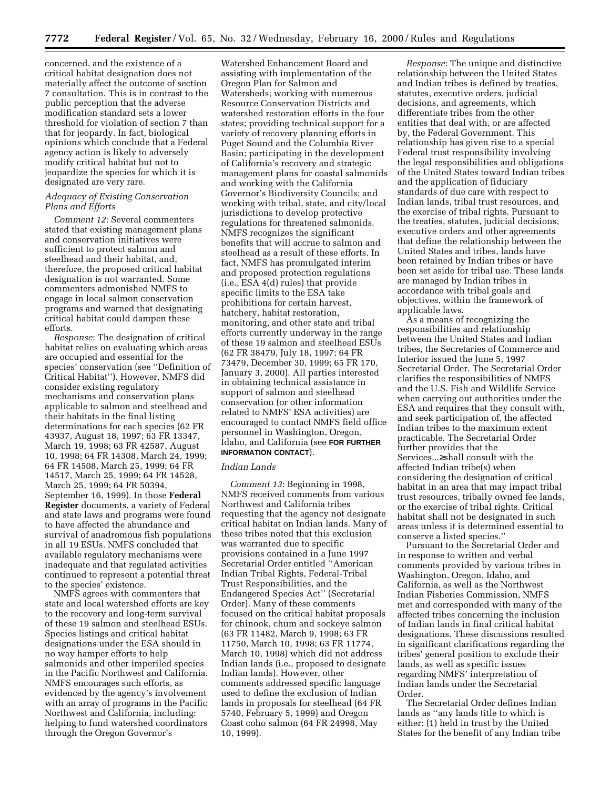concerned, and the existence of a critical habitat designation does not materially affect the outcome of section 7 consultation. This is in contrast to the public perception that the adverse modification standard sets a lower threshold for violation of section 7 than that for jeopardy. In fact, biological opinions which conclude that a Federal agency action is likely to adversely modify critical habitat but not to jeopardize the species for which it is designated are very rare.

## *Adequacy of Existing Conservation Plans and Efforts*

*Comment 12*: Several commenters stated that existing management plans and conservation initiatives were sufficient to protect salmon and steelhead and their habitat, and, therefore, the proposed critical habitat designation is not warranted. Some commenters admonished NMFS to engage in local salmon conservation programs and warned that designating critical habitat could dampen these efforts.

*Response*: The designation of critical habitat relies on evaluating which areas are occupied and essential for the species' conservation (see ''Definition of Critical Habitat''). However, NMFS did consider existing regulatory mechanisms and conservation plans applicable to salmon and steelhead and their habitats in the final listing determinations for each species (62 FR 43937, August 18, 1997; 63 FR 13347, March 19, 1998; 63 FR 42587, August 10, 1998; 64 FR 14308, March 24, 1999; 64 FR 14508, March 25, 1999; 64 FR 14517, March 25, 1999; 64 FR 14528, March 25, 1999; 64 FR 50394, September 16, 1999). In those **Federal Register** documents, a variety of Federal and state laws and programs were found to have affected the abundance and survival of anadromous fish populations in all 19 ESUs. NMFS concluded that available regulatory mechanisms were inadequate and that regulated activities continued to represent a potential threat to the species' existence.

NMFS agrees with commenters that state and local watershed efforts are key to the recovery and long-term survival of these 19 salmon and steelhead ESUs. Species listings and critical habitat designations under the ESA should in no way hamper efforts to help salmonids and other imperiled species in the Pacific Northwest and California. NMFS encourages such efforts, as evidenced by the agency's involvement with an array of programs in the Pacific Northwest and California, including: helping to fund watershed coordinators through the Oregon Governor's

Watershed Enhancement Board and assisting with implementation of the Oregon Plan for Salmon and Watersheds; working with numerous Resource Conservation Districts and watershed restoration efforts in the four states; providing technical support for a variety of recovery planning efforts in Puget Sound and the Columbia River Basin; participating in the development of California's recovery and strategic management plans for coastal salmonids and working with the California Governor's Biodiversity Councils; and working with tribal, state, and city/local jurisdictions to develop protective regulations for threatened salmonids. NMFS recognizes the significant benefits that will accrue to salmon and steelhead as a result of these efforts. In fact, NMFS has promulgated interim and proposed protection regulations (i.e., ESA 4(d) rules) that provide specific limits to the ESA take prohibitions for certain harvest, hatchery, habitat restoration, monitoring, and other state and tribal efforts currently underway in the range of these 19 salmon and steelhead ESUs (62 FR 38479, July 18, 1997; 64 FR 73479, December 30, 1999; 65 FR 170, January 3, 2000). All parties interested in obtaining technical assistance in support of salmon and steelhead conservation (or other information related to NMFS' ESA activities) are encouraged to contact NMFS field office personnel in Washington, Oregon, Idaho, and California (see **FOR FURTHER INFORMATION CONTACT**).

#### *Indian Lands*

*Comment 13*: Beginning in 1998, NMFS received comments from various Northwest and California tribes requesting that the agency not designate critical habitat on Indian lands. Many of these tribes noted that this exclusion was warranted due to specific provisions contained in a June 1997 Secretarial Order entitled ''American Indian Tribal Rights, Federal-Tribal Trust Responsibilities, and the Endangered Species Act'' (Secretarial Order). Many of these comments focused on the critical habitat proposals for chinook, chum and sockeye salmon (63 FR 11482, March 9, 1998; 63 FR 11750, March 10, 1998; 63 FR 11774, March 10, 1998) which did not address Indian lands (i.e., proposed to designate Indian lands). However, other comments addressed specific language used to define the exclusion of Indian lands in proposals for steelhead (64 FR 5740, February 5, 1999) and Oregon Coast coho salmon (64 FR 24998, May 10, 1999).

*Response*: The unique and distinctive relationship between the United States and Indian tribes is defined by treaties, statutes, executive orders, judicial decisions, and agreements, which differentiate tribes from the other entities that deal with, or are affected by, the Federal Government. This relationship has given rise to a special Federal trust responsibility involving the legal responsibilities and obligations of the United States toward Indian tribes and the application of fiduciary standards of due care with respect to Indian lands, tribal trust resources, and the exercise of tribal rights. Pursuant to the treaties, statutes, judicial decisions, executive orders and other agreements that define the relationship between the United States and tribes, lands have been retained by Indian tribes or have been set aside for tribal use. These lands are managed by Indian tribes in accordance with tribal goals and objectives, within the framework of applicable laws.

As a means of recognizing the responsibilities and relationship between the United States and Indian tribes, the Secretaries of Commerce and Interior issued the June 5, 1997 Secretarial Order. The Secretarial Order clarifies the responsibilities of NMFS and the U.S. Fish and Wildlife Service when carrying out authorities under the ESA and requires that they consult with, and seek participation of, the affected Indian tribes to the maximum extent practicable. The Secretarial Order further provides that the Services...≥shall consult with the affected Indian tribe(s) when considering the designation of critical habitat in an area that may impact tribal trust resources, tribally owned fee lands, or the exercise of tribal rights. Critical habitat shall not be designated in such areas unless it is determined essential to conserve a listed species.''

Pursuant to the Secretarial Order and in response to written and verbal comments provided by various tribes in Washington, Oregon, Idaho, and California, as well as the Northwest Indian Fisheries Commission, NMFS met and corresponded with many of the affected tribes concerning the inclusion of Indian lands in final critical habitat designations. These discussions resulted in significant clarifications regarding the tribes' general position to exclude their lands, as well as specific issues regarding NMFS' interpretation of Indian lands under the Secretarial Order.

The Secretarial Order defines Indian lands as ''any lands title to which is either: (1) held in trust by the United States for the benefit of any Indian tribe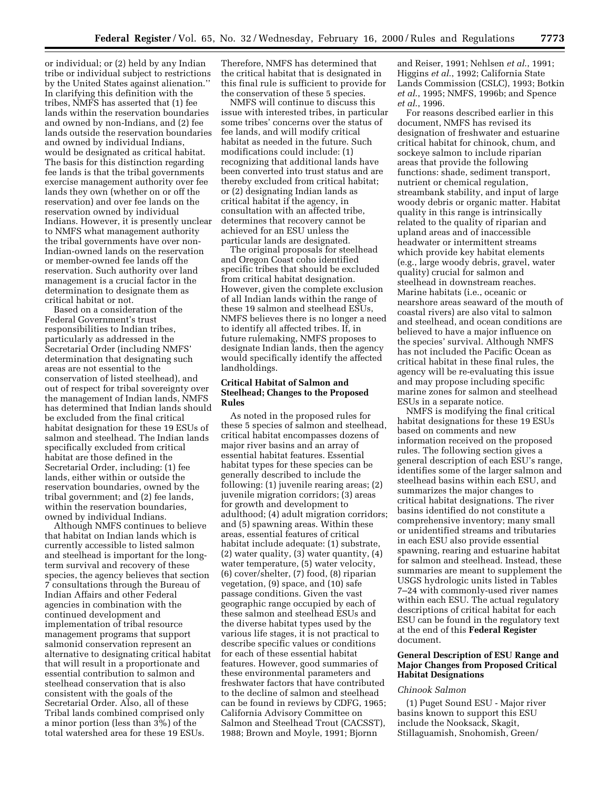or individual; or (2) held by any Indian tribe or individual subject to restrictions by the United States against alienation.'' In clarifying this definition with the tribes, NMFS has asserted that (1) fee lands within the reservation boundaries and owned by non-Indians, and (2) fee lands outside the reservation boundaries and owned by individual Indians, would be designated as critical habitat. The basis for this distinction regarding fee lands is that the tribal governments exercise management authority over fee lands they own (whether on or off the reservation) and over fee lands on the reservation owned by individual Indians. However, it is presently unclear to NMFS what management authority the tribal governments have over non-Indian-owned lands on the reservation or member-owned fee lands off the reservation. Such authority over land management is a crucial factor in the determination to designate them as critical habitat or not.

Based on a consideration of the Federal Government's trust responsibilities to Indian tribes, particularly as addressed in the Secretarial Order (including NMFS' determination that designating such areas are not essential to the conservation of listed steelhead), and out of respect for tribal sovereignty over the management of Indian lands, NMFS has determined that Indian lands should be excluded from the final critical habitat designation for these 19 ESUs of salmon and steelhead. The Indian lands specifically excluded from critical habitat are those defined in the Secretarial Order, including: (1) fee lands, either within or outside the reservation boundaries, owned by the tribal government; and (2) fee lands, within the reservation boundaries, owned by individual Indians.

Although NMFS continues to believe that habitat on Indian lands which is currently accessible to listed salmon and steelhead is important for the longterm survival and recovery of these species, the agency believes that section 7 consultations through the Bureau of Indian Affairs and other Federal agencies in combination with the continued development and implementation of tribal resource management programs that support salmonid conservation represent an alternative to designating critical habitat that will result in a proportionate and essential contribution to salmon and steelhead conservation that is also consistent with the goals of the Secretarial Order. Also, all of these Tribal lands combined comprised only a minor portion (less than 3%) of the total watershed area for these 19 ESUs.

Therefore, NMFS has determined that the critical habitat that is designated in this final rule is sufficient to provide for the conservation of these 5 species.

NMFS will continue to discuss this issue with interested tribes, in particular some tribes' concerns over the status of fee lands, and will modify critical habitat as needed in the future. Such modifications could include: (1) recognizing that additional lands have been converted into trust status and are thereby excluded from critical habitat; or (2) designating Indian lands as critical habitat if the agency, in consultation with an affected tribe, determines that recovery cannot be achieved for an ESU unless the particular lands are designated.

The original proposals for steelhead and Oregon Coast coho identified specific tribes that should be excluded from critical habitat designation. However, given the complete exclusion of all Indian lands within the range of these 19 salmon and steelhead ESUs, NMFS believes there is no longer a need to identify all affected tribes. If, in future rulemaking, NMFS proposes to designate Indian lands, then the agency would specifically identify the affected landholdings.

## **Critical Habitat of Salmon and Steelhead; Changes to the Proposed Rules**

As noted in the proposed rules for these 5 species of salmon and steelhead, critical habitat encompasses dozens of major river basins and an array of essential habitat features. Essential habitat types for these species can be generally described to include the following: (1) juvenile rearing areas; (2) juvenile migration corridors; (3) areas for growth and development to adulthood; (4) adult migration corridors; and (5) spawning areas. Within these areas, essential features of critical habitat include adequate: (1) substrate, (2) water quality, (3) water quantity, (4) water temperature, (5) water velocity, (6) cover/shelter, (7) food, (8) riparian vegetation, (9) space, and (10) safe passage conditions. Given the vast geographic range occupied by each of these salmon and steelhead ESUs and the diverse habitat types used by the various life stages, it is not practical to describe specific values or conditions for each of these essential habitat features. However, good summaries of these environmental parameters and freshwater factors that have contributed to the decline of salmon and steelhead can be found in reviews by CDFG, 1965; California Advisory Committee on Salmon and Steelhead Trout (CACSST), 1988; Brown and Moyle, 1991; Bjornn

and Reiser, 1991; Nehlsen *et al*., 1991; Higgins *et al*., 1992; California State Lands Commission (CSLC), 1993; Botkin *et al*., 1995; NMFS, 1996b; and Spence *et al*., 1996.

For reasons described earlier in this document, NMFS has revised its designation of freshwater and estuarine critical habitat for chinook, chum, and sockeye salmon to include riparian areas that provide the following functions: shade, sediment transport, nutrient or chemical regulation, streambank stability, and input of large woody debris or organic matter. Habitat quality in this range is intrinsically related to the quality of riparian and upland areas and of inaccessible headwater or intermittent streams which provide key habitat elements (e.g., large woody debris, gravel, water quality) crucial for salmon and steelhead in downstream reaches. Marine habitats (i.e., oceanic or nearshore areas seaward of the mouth of coastal rivers) are also vital to salmon and steelhead, and ocean conditions are believed to have a major influence on the species' survival. Although NMFS has not included the Pacific Ocean as critical habitat in these final rules, the agency will be re-evaluating this issue and may propose including specific marine zones for salmon and steelhead ESUs in a separate notice.

NMFS is modifying the final critical habitat designations for these 19 ESUs based on comments and new information received on the proposed rules. The following section gives a general description of each ESU's range, identifies some of the larger salmon and steelhead basins within each ESU, and summarizes the major changes to critical habitat designations. The river basins identified do not constitute a comprehensive inventory; many small or unidentified streams and tributaries in each ESU also provide essential spawning, rearing and estuarine habitat for salmon and steelhead. Instead, these summaries are meant to supplement the USGS hydrologic units listed in Tables 7–24 with commonly-used river names within each ESU. The actual regulatory descriptions of critical habitat for each ESU can be found in the regulatory text at the end of this **Federal Register** document.

#### **General Description of ESU Range and Major Changes from Proposed Critical Habitat Designations**

#### *Chinook Salmon*

(1) Puget Sound ESU - Major river basins known to support this ESU include the Nooksack, Skagit, Stillaguamish, Snohomish, Green/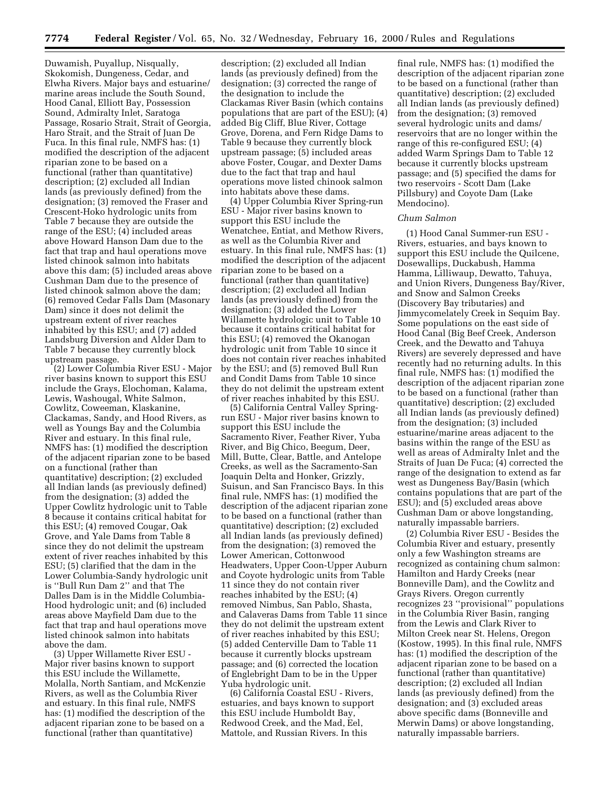Duwamish, Puyallup, Nisqually, Skokomish, Dungeness, Cedar, and Elwha Rivers. Major bays and estuarine/ marine areas include the South Sound, Hood Canal, Elliott Bay, Possession Sound, Admiralty Inlet, Saratoga Passage, Rosario Strait, Strait of Georgia, Haro Strait, and the Strait of Juan De Fuca. In this final rule, NMFS has: (1) modified the description of the adjacent riparian zone to be based on a functional (rather than quantitative) description; (2) excluded all Indian lands (as previously defined) from the designation; (3) removed the Fraser and Crescent-Hoko hydrologic units from Table 7 because they are outside the range of the ESU; (4) included areas above Howard Hanson Dam due to the fact that trap and haul operations move listed chinook salmon into habitats above this dam; (5) included areas above Cushman Dam due to the presence of listed chinook salmon above the dam; (6) removed Cedar Falls Dam (Masonary Dam) since it does not delimit the upstream extent of river reaches inhabited by this ESU; and (7) added Landsburg Diversion and Alder Dam to Table 7 because they currently block upstream passage.

(2) Lower Columbia River ESU - Major river basins known to support this ESU include the Grays, Elochoman, Kalama, Lewis, Washougal, White Salmon, Cowlitz, Coweeman, Klaskanine, Clackamas, Sandy, and Hood Rivers, as well as Youngs Bay and the Columbia River and estuary. In this final rule, NMFS has: (1) modified the description of the adjacent riparian zone to be based on a functional (rather than quantitative) description; (2) excluded all Indian lands (as previously defined) from the designation; (3) added the Upper Cowlitz hydrologic unit to Table 8 because it contains critical habitat for this ESU; (4) removed Cougar, Oak Grove, and Yale Dams from Table 8 since they do not delimit the upstream extent of river reaches inhabited by this ESU; (5) clarified that the dam in the Lower Columbia-Sandy hydrologic unit is ''Bull Run Dam 2'' and that The Dalles Dam is in the Middle Columbia-Hood hydrologic unit; and (6) included areas above Mayfield Dam due to the fact that trap and haul operations move listed chinook salmon into habitats above the dam.

(3) Upper Willamette River ESU - Major river basins known to support this ESU include the Willamette, Molalla, North Santiam, and McKenzie Rivers, as well as the Columbia River and estuary. In this final rule, NMFS has: (1) modified the description of the adjacent riparian zone to be based on a functional (rather than quantitative)

description; (2) excluded all Indian lands (as previously defined) from the designation; (3) corrected the range of the designation to include the Clackamas River Basin (which contains populations that are part of the ESU); (4) added Big Cliff, Blue River, Cottage Grove, Dorena, and Fern Ridge Dams to Table 9 because they currently block upstream passage; (5) included areas above Foster, Cougar, and Dexter Dams due to the fact that trap and haul operations move listed chinook salmon into habitats above these dams.

(4) Upper Columbia River Spring-run ESU - Major river basins known to support this ESU include the Wenatchee, Entiat, and Methow Rivers, as well as the Columbia River and estuary. In this final rule, NMFS has: (1) modified the description of the adjacent riparian zone to be based on a functional (rather than quantitative) description; (2) excluded all Indian lands (as previously defined) from the designation; (3) added the Lower Willamette hydrologic unit to Table 10 because it contains critical habitat for this ESU; (4) removed the Okanogan hydrologic unit from Table 10 since it does not contain river reaches inhabited by the ESU; and (5) removed Bull Run and Condit Dams from Table 10 since they do not delimit the upstream extent of river reaches inhabited by this ESU.

(5) California Central Valley Springrun ESU - Major river basins known to support this ESU include the Sacramento River, Feather River, Yuba River, and Big Chico, Beegum, Deer, Mill, Butte, Clear, Battle, and Antelope Creeks, as well as the Sacramento-San Joaquin Delta and Honker, Grizzly, Suisun, and San Francisco Bays. In this final rule, NMFS has: (1) modified the description of the adjacent riparian zone to be based on a functional (rather than quantitative) description; (2) excluded all Indian lands (as previously defined) from the designation; (3) removed the Lower American, Cottonwood Headwaters, Upper Coon-Upper Auburn and Coyote hydrologic units from Table 11 since they do not contain river reaches inhabited by the ESU; (4) removed Nimbus, San Pablo, Shasta, and Calaveras Dams from Table 11 since they do not delimit the upstream extent of river reaches inhabited by this ESU; (5) added Centerville Dam to Table 11 because it currently blocks upstream passage; and (6) corrected the location of Englebright Dam to be in the Upper Yuba hydrologic unit.

(6) California Coastal ESU - Rivers, estuaries, and bays known to support this ESU include Humboldt Bay, Redwood Creek, and the Mad, Eel, Mattole, and Russian Rivers. In this

final rule, NMFS has: (1) modified the description of the adjacent riparian zone to be based on a functional (rather than quantitative) description; (2) excluded all Indian lands (as previously defined) from the designation; (3) removed several hydrologic units and dams/ reservoirs that are no longer within the range of this re-configured ESU; (4) added Warm Springs Dam to Table 12 because it currently blocks upstream passage; and (5) specified the dams for two reservoirs - Scott Dam (Lake Pillsbury) and Coyote Dam (Lake Mendocino).

## *Chum Salmon*

(1) Hood Canal Summer-run ESU - Rivers, estuaries, and bays known to support this ESU include the Quilcene, Dosewallips, Duckabush, Hamma Hamma, Lilliwaup, Dewatto, Tahuya, and Union Rivers, Dungeness Bay/River, and Snow and Salmon Creeks (Discovery Bay tributaries) and Jimmycomelately Creek in Sequim Bay. Some populations on the east side of Hood Canal (Big Beef Creek, Anderson Creek, and the Dewatto and Tahuya Rivers) are severely depressed and have recently had no returning adults. In this final rule, NMFS has: (1) modified the description of the adjacent riparian zone to be based on a functional (rather than quantitative) description; (2) excluded all Indian lands (as previously defined) from the designation; (3) included estuarine/marine areas adjacent to the basins within the range of the ESU as well as areas of Admiralty Inlet and the Straits of Juan De Fuca; (4) corrected the range of the designation to extend as far west as Dungeness Bay/Basin (which contains populations that are part of the ESU); and (5) excluded areas above Cushman Dam or above longstanding, naturally impassable barriers.

(2) Columbia River ESU - Besides the Columbia River and estuary, presently only a few Washington streams are recognized as containing chum salmon: Hamilton and Hardy Creeks (near Bonneville Dam), and the Cowlitz and Grays Rivers. Oregon currently recognizes 23 ''provisional'' populations in the Columbia River Basin, ranging from the Lewis and Clark River to Milton Creek near St. Helens, Oregon (Kostow, 1995). In this final rule, NMFS has: (1) modified the description of the adjacent riparian zone to be based on a functional (rather than quantitative) description; (2) excluded all Indian lands (as previously defined) from the designation; and (3) excluded areas above specific dams (Bonneville and Merwin Dams) or above longstanding, naturally impassable barriers.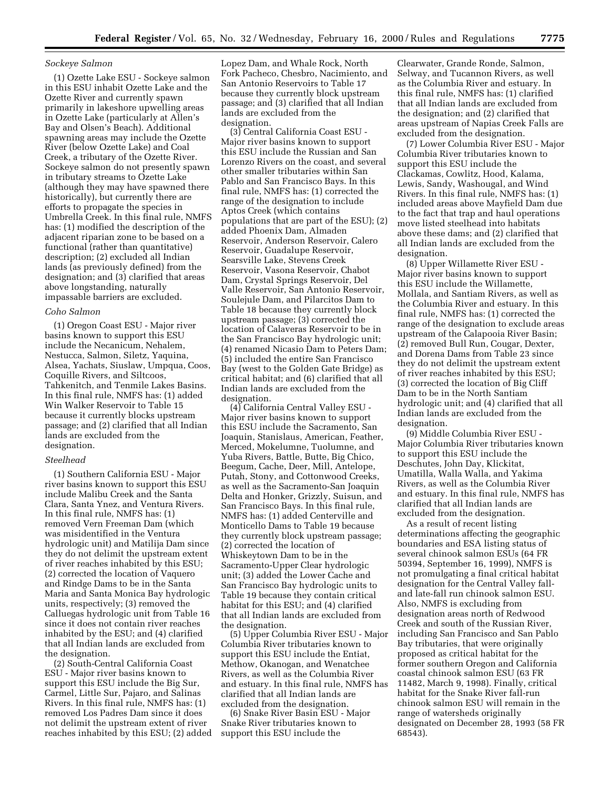### *Sockeye Salmon*

(1) Ozette Lake ESU - Sockeye salmon in this ESU inhabit Ozette Lake and the Ozette River and currently spawn primarily in lakeshore upwelling areas in Ozette Lake (particularly at Allen's Bay and Olsen's Beach). Additional spawning areas may include the Ozette River (below Ozette Lake) and Coal Creek, a tributary of the Ozette River. Sockeye salmon do not presently spawn in tributary streams to Ozette Lake (although they may have spawned there historically), but currently there are efforts to propagate the species in Umbrella Creek. In this final rule, NMFS has: (1) modified the description of the adjacent riparian zone to be based on a functional (rather than quantitative) description; (2) excluded all Indian lands (as previously defined) from the designation; and (3) clarified that areas above longstanding, naturally impassable barriers are excluded.

#### *Coho Salmon*

(1) Oregon Coast ESU - Major river basins known to support this ESU include the Necanicum, Nehalem, Nestucca, Salmon, Siletz, Yaquina, Alsea, Yachats, Siuslaw, Umpqua, Coos, Coquille Rivers, and Siltcoos, Tahkenitch, and Tenmile Lakes Basins. In this final rule, NMFS has: (1) added Win Walker Reservoir to Table 15 because it currently blocks upstream passage; and (2) clarified that all Indian lands are excluded from the designation.

#### *Steelhead*

(1) Southern California ESU - Major river basins known to support this ESU include Malibu Creek and the Santa Clara, Santa Ynez, and Ventura Rivers. In this final rule, NMFS has: (1) removed Vern Freeman Dam (which was misidentified in the Ventura hydrologic unit) and Matilija Dam since they do not delimit the upstream extent of river reaches inhabited by this ESU; (2) corrected the location of Vaquero and Rindge Dams to be in the Santa Maria and Santa Monica Bay hydrologic units, respectively; (3) removed the Calluegas hydrologic unit from Table 16 since it does not contain river reaches inhabited by the ESU; and (4) clarified that all Indian lands are excluded from the designation.

(2) South-Central California Coast ESU - Major river basins known to support this ESU include the Big Sur, Carmel, Little Sur, Pajaro, and Salinas Rivers. In this final rule, NMFS has: (1) removed Los Padres Dam since it does not delimit the upstream extent of river reaches inhabited by this ESU; (2) added Lopez Dam, and Whale Rock, North Fork Pacheco, Chesbro, Nacimiento, and San Antonio Reservoirs to Table 17 because they currently block upstream passage; and (3) clarified that all Indian lands are excluded from the designation.

(3) Central California Coast ESU - Major river basins known to support this ESU include the Russian and San Lorenzo Rivers on the coast, and several other smaller tributaries within San Pablo and San Francisco Bays. In this final rule, NMFS has: (1) corrected the range of the designation to include Aptos Creek (which contains populations that are part of the ESU); (2) added Phoenix Dam, Almaden Reservoir, Anderson Reservoir, Calero Reservoir, Guadalupe Reservoir, Searsville Lake, Stevens Creek Reservoir, Vasona Reservoir, Chabot Dam, Crystal Springs Reservoir, Del Valle Reservoir, San Antonio Reservoir, Soulejule Dam, and Pilarcitos Dam to Table 18 because they currently block upstream passage; (3) corrected the location of Calaveras Reservoir to be in the San Francisco Bay hydrologic unit; (4) renamed Nicasio Dam to Peters Dam; (5) included the entire San Francisco Bay (west to the Golden Gate Bridge) as critical habitat; and (6) clarified that all Indian lands are excluded from the designation.

(4) California Central Valley ESU - Major river basins known to support this ESU include the Sacramento, San Joaquin, Stanislaus, American, Feather, Merced, Mokelumne, Tuolumne, and Yuba Rivers, Battle, Butte, Big Chico, Beegum, Cache, Deer, Mill, Antelope, Putah, Stony, and Cottonwood Creeks, as well as the Sacramento-San Joaquin Delta and Honker, Grizzly, Suisun, and San Francisco Bays. In this final rule, NMFS has: (1) added Centerville and Monticello Dams to Table 19 because they currently block upstream passage; (2) corrected the location of Whiskeytown Dam to be in the Sacramento-Upper Clear hydrologic unit; (3) added the Lower Cache and San Francisco Bay hydrologic units to Table 19 because they contain critical habitat for this ESU; and (4) clarified that all Indian lands are excluded from the designation.

(5) Upper Columbia River ESU - Major Columbia River tributaries known to support this ESU include the Entiat, Methow, Okanogan, and Wenatchee Rivers, as well as the Columbia River and estuary. In this final rule, NMFS has clarified that all Indian lands are excluded from the designation.

(6) Snake River Basin ESU - Major Snake River tributaries known to support this ESU include the

Clearwater, Grande Ronde, Salmon, Selway, and Tucannon Rivers, as well as the Columbia River and estuary. In this final rule, NMFS has: (1) clarified that all Indian lands are excluded from the designation; and (2) clarified that areas upstream of Napias Creek Falls are excluded from the designation.

(7) Lower Columbia River ESU - Major Columbia River tributaries known to support this ESU include the Clackamas, Cowlitz, Hood, Kalama, Lewis, Sandy, Washougal, and Wind Rivers. In this final rule, NMFS has: (1) included areas above Mayfield Dam due to the fact that trap and haul operations move listed steelhead into habitats above these dams; and (2) clarified that all Indian lands are excluded from the designation.

(8) Upper Willamette River ESU - Major river basins known to support this ESU include the Willamette, Mollala, and Santiam Rivers, as well as the Columbia River and estuary. In this final rule, NMFS has: (1) corrected the range of the designation to exclude areas upstream of the Calapooia River Basin; (2) removed Bull Run, Cougar, Dexter, and Dorena Dams from Table 23 since they do not delimit the upstream extent of river reaches inhabited by this ESU; (3) corrected the location of Big Cliff Dam to be in the North Santiam hydrologic unit; and (4) clarified that all Indian lands are excluded from the designation.

(9) Middle Columbia River ESU - Major Columbia River tributaries known to support this ESU include the Deschutes, John Day, Klickitat, Umatilla, Walla Walla, and Yakima Rivers, as well as the Columbia River and estuary. In this final rule, NMFS has clarified that all Indian lands are excluded from the designation.

As a result of recent listing determinations affecting the geographic boundaries and ESA listing status of several chinook salmon ESUs (64 FR 50394, September 16, 1999), NMFS is not promulgating a final critical habitat designation for the Central Valley falland late-fall run chinook salmon ESU. Also, NMFS is excluding from designation areas north of Redwood Creek and south of the Russian River, including San Francisco and San Pablo Bay tributaries, that were originally proposed as critical habitat for the former southern Oregon and California coastal chinook salmon ESU (63 FR 11482, March 9, 1998). Finally, critical habitat for the Snake River fall-run chinook salmon ESU will remain in the range of watersheds originally designated on December 28, 1993 (58 FR 68543).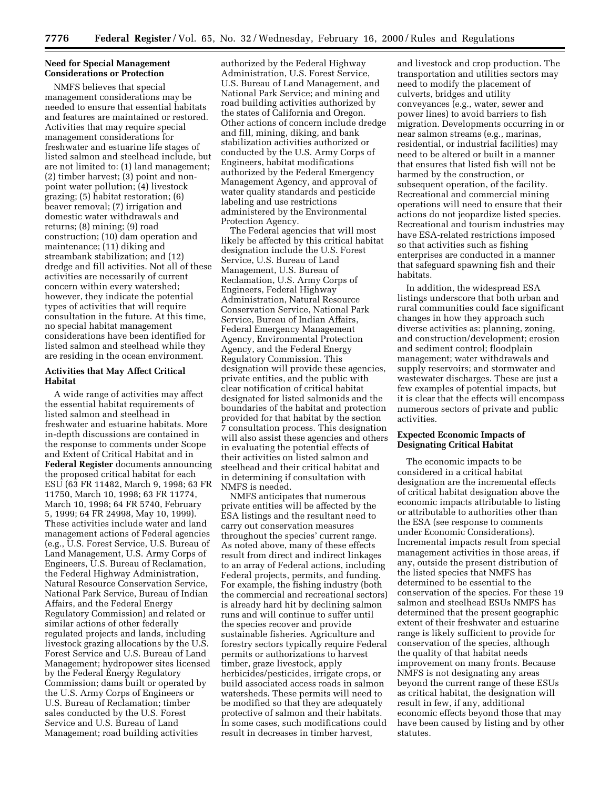## **Need for Special Management Considerations or Protection**

NMFS believes that special management considerations may be needed to ensure that essential habitats and features are maintained or restored. Activities that may require special management considerations for freshwater and estuarine life stages of listed salmon and steelhead include, but are not limited to: (1) land management; (2) timber harvest; (3) point and nonpoint water pollution; (4) livestock grazing; (5) habitat restoration; (6) beaver removal; (7) irrigation and domestic water withdrawals and returns; (8) mining; (9) road construction; (10) dam operation and maintenance; (11) diking and streambank stabilization; and (12) dredge and fill activities. Not all of these activities are necessarily of current concern within every watershed; however, they indicate the potential types of activities that will require consultation in the future. At this time, no special habitat management considerations have been identified for listed salmon and steelhead while they are residing in the ocean environment.

## **Activities that May Affect Critical Habitat**

A wide range of activities may affect the essential habitat requirements of listed salmon and steelhead in freshwater and estuarine habitats. More in-depth discussions are contained in the response to comments under Scope and Extent of Critical Habitat and in **Federal Register** documents announcing the proposed critical habitat for each ESU (63 FR 11482, March 9, 1998; 63 FR 11750, March 10, 1998; 63 FR 11774, March 10, 1998; 64 FR 5740, February 5, 1999; 64 FR 24998, May 10, 1999). These activities include water and land management actions of Federal agencies (e.g., U.S. Forest Service, U.S. Bureau of Land Management, U.S. Army Corps of Engineers, U.S. Bureau of Reclamation, the Federal Highway Administration, Natural Resource Conservation Service, National Park Service, Bureau of Indian Affairs, and the Federal Energy Regulatory Commission) and related or similar actions of other federally regulated projects and lands, including livestock grazing allocations by the U.S. Forest Service and U.S. Bureau of Land Management; hydropower sites licensed by the Federal Energy Regulatory Commission; dams built or operated by the U.S. Army Corps of Engineers or U.S. Bureau of Reclamation; timber sales conducted by the U.S. Forest Service and U.S. Bureau of Land Management; road building activities

authorized by the Federal Highway Administration, U.S. Forest Service, U.S. Bureau of Land Management, and National Park Service; and mining and road building activities authorized by the states of California and Oregon. Other actions of concern include dredge and fill, mining, diking, and bank stabilization activities authorized or conducted by the U.S. Army Corps of Engineers, habitat modifications authorized by the Federal Emergency Management Agency, and approval of water quality standards and pesticide labeling and use restrictions administered by the Environmental Protection Agency.

The Federal agencies that will most likely be affected by this critical habitat designation include the U.S. Forest Service, U.S. Bureau of Land Management, U.S. Bureau of Reclamation, U.S. Army Corps of Engineers, Federal Highway Administration, Natural Resource Conservation Service, National Park Service, Bureau of Indian Affairs, Federal Emergency Management Agency, Environmental Protection Agency, and the Federal Energy Regulatory Commission. This designation will provide these agencies, private entities, and the public with clear notification of critical habitat designated for listed salmonids and the boundaries of the habitat and protection provided for that habitat by the section 7 consultation process. This designation will also assist these agencies and others in evaluating the potential effects of their activities on listed salmon and steelhead and their critical habitat and in determining if consultation with NMFS is needed.

NMFS anticipates that numerous private entities will be affected by the ESA listings and the resultant need to carry out conservation measures throughout the species' current range. As noted above, many of these effects result from direct and indirect linkages to an array of Federal actions, including Federal projects, permits, and funding. For example, the fishing industry (both the commercial and recreational sectors) is already hard hit by declining salmon runs and will continue to suffer until the species recover and provide sustainable fisheries. Agriculture and forestry sectors typically require Federal permits or authorizations to harvest timber, graze livestock, apply herbicides/pesticides, irrigate crops, or build associated access roads in salmon watersheds. These permits will need to be modified so that they are adequately protective of salmon and their habitats. In some cases, such modifications could result in decreases in timber harvest,

and livestock and crop production. The transportation and utilities sectors may need to modify the placement of culverts, bridges and utility conveyances (e.g., water, sewer and power lines) to avoid barriers to fish migration. Developments occurring in or near salmon streams (e.g., marinas, residential, or industrial facilities) may need to be altered or built in a manner that ensures that listed fish will not be harmed by the construction, or subsequent operation, of the facility. Recreational and commercial mining operations will need to ensure that their actions do not jeopardize listed species. Recreational and tourism industries may have ESA-related restrictions imposed so that activities such as fishing enterprises are conducted in a manner that safeguard spawning fish and their habitats.

In addition, the widespread ESA listings underscore that both urban and rural communities could face significant changes in how they approach such diverse activities as: planning, zoning, and construction/development; erosion and sediment control; floodplain management; water withdrawals and supply reservoirs; and stormwater and wastewater discharges. These are just a few examples of potential impacts, but it is clear that the effects will encompass numerous sectors of private and public activities.

### **Expected Economic Impacts of Designating Critical Habitat**

The economic impacts to be considered in a critical habitat designation are the incremental effects of critical habitat designation above the economic impacts attributable to listing or attributable to authorities other than the ESA (see response to comments under Economic Considerations). Incremental impacts result from special management activities in those areas, if any, outside the present distribution of the listed species that NMFS has determined to be essential to the conservation of the species. For these 19 salmon and steelhead ESUs NMFS has determined that the present geographic extent of their freshwater and estuarine range is likely sufficient to provide for conservation of the species, although the quality of that habitat needs improvement on many fronts. Because NMFS is not designating any areas beyond the current range of these ESUs as critical habitat, the designation will result in few, if any, additional economic effects beyond those that may have been caused by listing and by other statutes.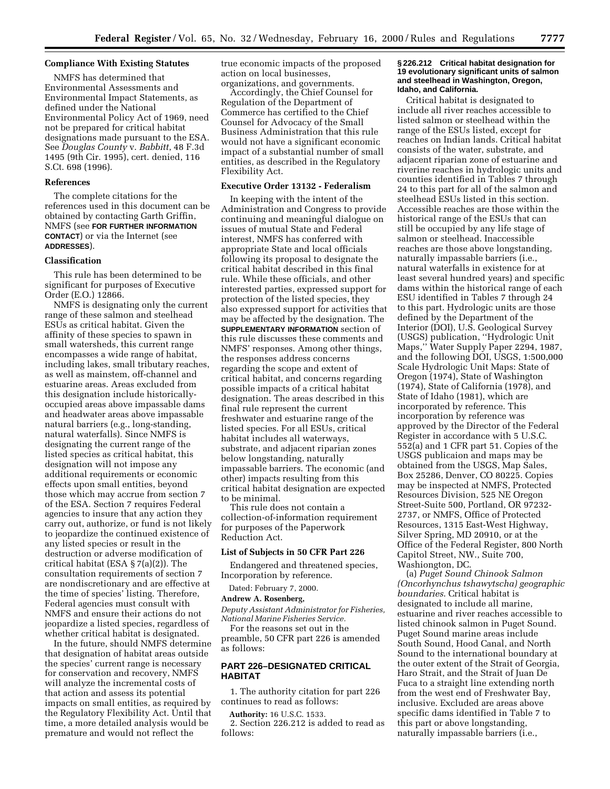#### **Compliance With Existing Statutes**

NMFS has determined that Environmental Assessments and Environmental Impact Statements, as defined under the National Environmental Policy Act of 1969, need not be prepared for critical habitat designations made pursuant to the ESA. See *Douglas County* v. *Babbitt*, 48 F.3d 1495 (9th Cir. 1995), cert. denied, 116 S.Ct. 698 (1996).

#### **References**

The complete citations for the references used in this document can be obtained by contacting Garth Griffin, NMFS (see **FOR FURTHER INFORMATION CONTACT**) or via the Internet (see **ADDRESSES**).

#### **Classification**

This rule has been determined to be significant for purposes of Executive Order (E.O.) 12866.

NMFS is designating only the current range of these salmon and steelhead ESUs as critical habitat. Given the affinity of these species to spawn in small watersheds, this current range encompasses a wide range of habitat, including lakes, small tributary reaches, as well as mainstem, off-channel and estuarine areas. Areas excluded from this designation include historicallyoccupied areas above impassable dams and headwater areas above impassable natural barriers (e.g., long-standing, natural waterfalls). Since NMFS is designating the current range of the listed species as critical habitat, this designation will not impose any additional requirements or economic effects upon small entities, beyond those which may accrue from section 7 of the ESA. Section 7 requires Federal agencies to insure that any action they carry out, authorize, or fund is not likely to jeopardize the continued existence of any listed species or result in the destruction or adverse modification of critical habitat (ESA § 7(a)(2)). The consultation requirements of section 7 are nondiscretionary and are effective at the time of species' listing. Therefore, Federal agencies must consult with NMFS and ensure their actions do not jeopardize a listed species, regardless of whether critical habitat is designated.

In the future, should NMFS determine that designation of habitat areas outside the species' current range is necessary for conservation and recovery, NMFS will analyze the incremental costs of that action and assess its potential impacts on small entities, as required by the Regulatory Flexibility Act. Until that time, a more detailed analysis would be premature and would not reflect the

true economic impacts of the proposed action on local businesses, organizations, and governments.

Accordingly, the Chief Counsel for Regulation of the Department of Commerce has certified to the Chief Counsel for Advocacy of the Small Business Administration that this rule would not have a significant economic impact of a substantial number of small entities, as described in the Regulatory Flexibility Act.

#### **Executive Order 13132 - Federalism**

In keeping with the intent of the Administration and Congress to provide continuing and meaningful dialogue on issues of mutual State and Federal interest, NMFS has conferred with appropriate State and local officials following its proposal to designate the critical habitat described in this final rule. While these officials, and other interested parties, expressed support for protection of the listed species, they also expressed support for activities that may be affected by the designation. The **SUPPLEMENTARY INFORMATION** section of this rule discusses these comments and NMFS' responses. Among other things, the responses address concerns regarding the scope and extent of critical habitat, and concerns regarding possible impacts of a critical habitat designation. The areas described in this final rule represent the current freshwater and estuarine range of the listed species. For all ESUs, critical habitat includes all waterways, substrate, and adjacent riparian zones below longstanding, naturally impassable barriers. The economic (and other) impacts resulting from this critical habitat designation are expected to be minimal.

This rule does not contain a collection-of-information requirement for purposes of the Paperwork Reduction Act.

# **List of Subjects in 50 CFR Part 226**

Endangered and threatened species, Incorporation by reference.

Dated: February 7, 2000.

#### **Andrew A. Rosenberg,**

*Deputy Assistant Administrator for Fisheries, National Marine Fisheries Service.*

For the reasons set out in the preamble, 50 CFR part 226 is amended as follows:

# **PART 226–DESIGNATED CRITICAL HABITAT**

1. The authority citation for part 226 continues to read as follows:

**Authority:** 16 U.S.C. 1533.

2. Section 226.212 is added to read as follows:

#### **§ 226.212 Critical habitat designation for 19 evolutionary significant units of salmon and steelhead in Washington, Oregon, Idaho, and California.**

Critical habitat is designated to include all river reaches accessible to listed salmon or steelhead within the range of the ESUs listed, except for reaches on Indian lands. Critical habitat consists of the water, substrate, and adjacent riparian zone of estuarine and riverine reaches in hydrologic units and counties identified in Tables 7 through 24 to this part for all of the salmon and steelhead ESUs listed in this section. Accessible reaches are those within the historical range of the ESUs that can still be occupied by any life stage of salmon or steelhead. Inaccessible reaches are those above longstanding, naturally impassable barriers (i.e., natural waterfalls in existence for at least several hundred years) and specific dams within the historical range of each ESU identified in Tables 7 through 24 to this part. Hydrologic units are those defined by the Department of the Interior (DOI), U.S. Geological Survey (USGS) publication, ''Hydrologic Unit Maps,'' Water Supply Paper 2294, 1987, and the following DOI, USGS, 1:500,000 Scale Hydrologic Unit Maps: State of Oregon (1974), State of Washington (1974), State of California (1978), and State of Idaho (1981), which are incorporated by reference. This incorporation by reference was approved by the Director of the Federal Register in accordance with 5 U.S.C. 552(a) and 1 CFR part 51. Copies of the USGS publicaion and maps may be obtained from the USGS, Map Sales, Box 25286, Denver, CO 80225. Copies may be inspected at NMFS, Protected Resources Division, 525 NE Oregon Street-Suite 500, Portland, OR 97232- 2737, or NMFS, Office of Protected Resources, 1315 East-West Highway, Silver Spring, MD 20910, or at the Office of the Federal Register, 800 North Capitol Street, NW., Suite 700, Washiongton, DC.

(a) *Puget Sound Chinook Salmon (Oncorhynchus tshawytscha) geographic boundaries*. Critical habitat is designated to include all marine, estuarine and river reaches accessible to listed chinook salmon in Puget Sound. Puget Sound marine areas include South Sound, Hood Canal, and North Sound to the international boundary at the outer extent of the Strait of Georgia, Haro Strait, and the Strait of Juan De Fuca to a straight line extending north from the west end of Freshwater Bay, inclusive. Excluded are areas above specific dams identified in Table 7 to this part or above longstanding, naturally impassable barriers (i.e.,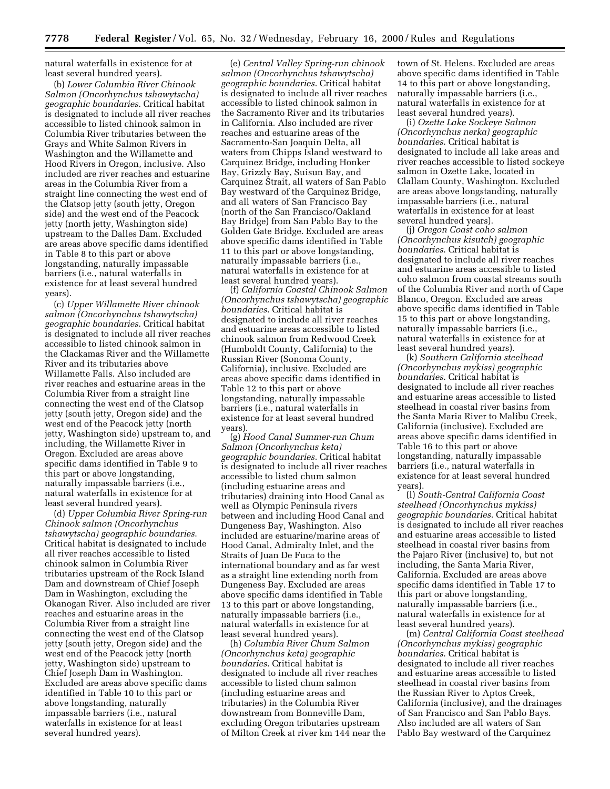natural waterfalls in existence for at least several hundred years).

(b) *Lower Columbia River Chinook Salmon (Oncorhynchus tshawytscha) geographic boundaries*. Critical habitat is designated to include all river reaches accessible to listed chinook salmon in Columbia River tributaries between the Grays and White Salmon Rivers in Washington and the Willamette and Hood Rivers in Oregon, inclusive. Also included are river reaches and estuarine areas in the Columbia River from a straight line connecting the west end of the Clatsop jetty (south jetty, Oregon side) and the west end of the Peacock jetty (north jetty, Washington side) upstream to the Dalles Dam. Excluded are areas above specific dams identified in Table 8 to this part or above longstanding, naturally impassable barriers (i.e., natural waterfalls in existence for at least several hundred years).

(c) *Upper Willamette River chinook salmon (Oncorhynchus tshawytscha) geographic boundaries*. Critical habitat is designated to include all river reaches accessible to listed chinook salmon in the Clackamas River and the Willamette River and its tributaries above Willamette Falls. Also included are river reaches and estuarine areas in the Columbia River from a straight line connecting the west end of the Clatsop jetty (south jetty, Oregon side) and the west end of the Peacock jetty (north jetty, Washington side) upstream to, and including, the Willamette River in Oregon. Excluded are areas above specific dams identified in Table 9 to this part or above longstanding, naturally impassable barriers (i.e., natural waterfalls in existence for at least several hundred years).

(d) *Upper Columbia River Spring-run Chinook salmon (Oncorhynchus tshawytscha) geographic boundaries*. Critical habitat is designated to include all river reaches accessible to listed chinook salmon in Columbia River tributaries upstream of the Rock Island Dam and downstream of Chief Joseph Dam in Washington, excluding the Okanogan River. Also included are river reaches and estuarine areas in the Columbia River from a straight line connecting the west end of the Clatsop jetty (south jetty, Oregon side) and the west end of the Peacock jetty (north jetty, Washington side) upstream to Chief Joseph Dam in Washington. Excluded are areas above specific dams identified in Table 10 to this part or above longstanding, naturally impassable barriers (i.e., natural waterfalls in existence for at least several hundred years).

(e) *Central Valley Spring-run chinook salmon (Oncorhynchus tshawytscha) geographic boundaries*. Critical habitat is designated to include all river reaches accessible to listed chinook salmon in the Sacramento River and its tributaries in California. Also included are river reaches and estuarine areas of the Sacramento-San Joaquin Delta, all waters from Chipps Island westward to Carquinez Bridge, including Honker Bay, Grizzly Bay, Suisun Bay, and Carquinez Strait, all waters of San Pablo Bay westward of the Carquinez Bridge, and all waters of San Francisco Bay (north of the San Francisco/Oakland Bay Bridge) from San Pablo Bay to the Golden Gate Bridge. Excluded are areas above specific dams identified in Table 11 to this part or above longstanding, naturally impassable barriers (i.e., natural waterfalls in existence for at least several hundred years).

(f) *California Coastal Chinook Salmon (Oncorhynchus tshawytscha) geographic boundaries*. Critical habitat is designated to include all river reaches and estuarine areas accessible to listed chinook salmon from Redwood Creek (Humboldt County, California) to the Russian River (Sonoma County, California), inclusive. Excluded are areas above specific dams identified in Table 12 to this part or above longstanding, naturally impassable barriers (i.e., natural waterfalls in existence for at least several hundred years).

(g) *Hood Canal Summer-run Chum Salmon (Oncorhynchus keta) geographic boundaries*. Critical habitat is designated to include all river reaches accessible to listed chum salmon (including estuarine areas and tributaries) draining into Hood Canal as well as Olympic Peninsula rivers between and including Hood Canal and Dungeness Bay, Washington. Also included are estuarine/marine areas of Hood Canal, Admiralty Inlet, and the Straits of Juan De Fuca to the international boundary and as far west as a straight line extending north from Dungeness Bay. Excluded are areas above specific dams identified in Table 13 to this part or above longstanding, naturally impassable barriers (i.e., natural waterfalls in existence for at least several hundred years).

(h) *Columbia River Chum Salmon (Oncorhynchus keta) geographic boundaries*. Critical habitat is designated to include all river reaches accessible to listed chum salmon (including estuarine areas and tributaries) in the Columbia River downstream from Bonneville Dam, excluding Oregon tributaries upstream of Milton Creek at river km 144 near the

town of St. Helens. Excluded are areas above specific dams identified in Table 14 to this part or above longstanding, naturally impassable barriers (i.e., natural waterfalls in existence for at least several hundred years).

(i) *Ozette Lake Sockeye Salmon (Oncorhynchus nerka) geographic boundaries*. Critical habitat is designated to include all lake areas and river reaches accessible to listed sockeye salmon in Ozette Lake, located in Clallam County, Washington. Excluded are areas above longstanding, naturally impassable barriers (i.e., natural waterfalls in existence for at least several hundred years).

(j) *Oregon Coast coho salmon (Oncorhynchus kisutch) geographic boundaries*. Critical habitat is designated to include all river reaches and estuarine areas accessible to listed coho salmon from coastal streams south of the Columbia River and north of Cape Blanco, Oregon. Excluded are areas above specific dams identified in Table 15 to this part or above longstanding, naturally impassable barriers (i.e., natural waterfalls in existence for at least several hundred years).

(k) *Southern California steelhead (Oncorhynchus mykiss) geographic boundaries*. Critical habitat is designated to include all river reaches and estuarine areas accessible to listed steelhead in coastal river basins from the Santa Maria River to Malibu Creek, California (inclusive). Excluded are areas above specific dams identified in Table 16 to this part or above longstanding, naturally impassable barriers (i.e., natural waterfalls in existence for at least several hundred years).

(l) *South-Central California Coast steelhead (Oncorhynchus mykiss) geographic boundaries*. Critical habitat is designated to include all river reaches and estuarine areas accessible to listed steelhead in coastal river basins from the Pajaro River (inclusive) to, but not including, the Santa Maria River, California. Excluded are areas above specific dams identified in Table 17 to this part or above longstanding, naturally impassable barriers (i.e., natural waterfalls in existence for at least several hundred years).

(m) *Central California Coast steelhead (Oncorhynchus mykiss) geographic boundaries*. Critical habitat is designated to include all river reaches and estuarine areas accessible to listed steelhead in coastal river basins from the Russian River to Aptos Creek, California (inclusive), and the drainages of San Francisco and San Pablo Bays. Also included are all waters of San Pablo Bay westward of the Carquinez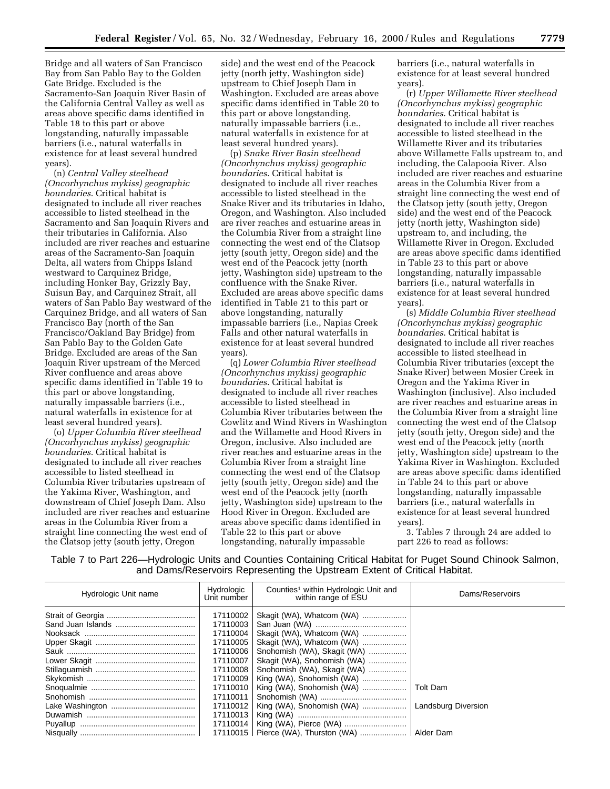Bridge and all waters of San Francisco Bay from San Pablo Bay to the Golden Gate Bridge. Excluded is the Sacramento-San Joaquin River Basin of the California Central Valley as well as areas above specific dams identified in Table 18 to this part or above longstanding, naturally impassable barriers (i.e., natural waterfalls in existence for at least several hundred years).

(n) *Central Valley steelhead (Oncorhynchus mykiss) geographic boundaries*. Critical habitat is designated to include all river reaches accessible to listed steelhead in the Sacramento and San Joaquin Rivers and their tributaries in California. Also included are river reaches and estuarine areas of the Sacramento-San Joaquin Delta, all waters from Chipps Island westward to Carquinez Bridge, including Honker Bay, Grizzly Bay, Suisun Bay, and Carquinez Strait, all waters of San Pablo Bay westward of the Carquinez Bridge, and all waters of San Francisco Bay (north of the San Francisco/Oakland Bay Bridge) from San Pablo Bay to the Golden Gate Bridge. Excluded are areas of the San Joaquin River upstream of the Merced River confluence and areas above specific dams identified in Table 19 to this part or above longstanding, naturally impassable barriers (i.e., natural waterfalls in existence for at least several hundred years).

(o) *Upper Columbia River steelhead (Oncorhynchus mykiss) geographic boundaries*. Critical habitat is designated to include all river reaches accessible to listed steelhead in Columbia River tributaries upstream of the Yakima River, Washington, and downstream of Chief Joseph Dam. Also included are river reaches and estuarine areas in the Columbia River from a straight line connecting the west end of the Clatsop jetty (south jetty, Oregon

side) and the west end of the Peacock jetty (north jetty, Washington side) upstream to Chief Joseph Dam in Washington. Excluded are areas above specific dams identified in Table 20 to this part or above longstanding, naturally impassable barriers (i.e., natural waterfalls in existence for at least several hundred years).

(p) *Snake River Basin steelhead (Oncorhynchus mykiss) geographic boundaries*. Critical habitat is designated to include all river reaches accessible to listed steelhead in the Snake River and its tributaries in Idaho, Oregon, and Washington. Also included are river reaches and estuarine areas in the Columbia River from a straight line connecting the west end of the Clatsop jetty (south jetty, Oregon side) and the west end of the Peacock jetty (north jetty, Washington side) upstream to the confluence with the Snake River. Excluded are areas above specific dams identified in Table 21 to this part or above longstanding, naturally impassable barriers (i.e., Napias Creek Falls and other natural waterfalls in existence for at least several hundred years).

(q) *Lower Columbia River steelhead (Oncorhynchus mykiss) geographic boundaries*. Critical habitat is designated to include all river reaches accessible to listed steelhead in Columbia River tributaries between the Cowlitz and Wind Rivers in Washington and the Willamette and Hood Rivers in Oregon, inclusive. Also included are river reaches and estuarine areas in the Columbia River from a straight line connecting the west end of the Clatsop jetty (south jetty, Oregon side) and the west end of the Peacock jetty (north jetty, Washington side) upstream to the Hood River in Oregon. Excluded are areas above specific dams identified in Table 22 to this part or above longstanding, naturally impassable

barriers (i.e., natural waterfalls in existence for at least several hundred years).

(r) *Upper Willamette River steelhead (Oncorhynchus mykiss) geographic boundaries*. Critical habitat is designated to include all river reaches accessible to listed steelhead in the Willamette River and its tributaries above Willamette Falls upstream to, and including, the Calapooia River. Also included are river reaches and estuarine areas in the Columbia River from a straight line connecting the west end of the Clatsop jetty (south jetty, Oregon side) and the west end of the Peacock jetty (north jetty, Washington side) upstream to, and including, the Willamette River in Oregon. Excluded are areas above specific dams identified in Table 23 to this part or above longstanding, naturally impassable barriers (i.e., natural waterfalls in existence for at least several hundred years).

(s) *Middle Columbia River steelhead (Oncorhynchus mykiss) geographic boundaries*. Critical habitat is designated to include all river reaches accessible to listed steelhead in Columbia River tributaries (except the Snake River) between Mosier Creek in Oregon and the Yakima River in Washington (inclusive). Also included are river reaches and estuarine areas in the Columbia River from a straight line connecting the west end of the Clatsop jetty (south jetty, Oregon side) and the west end of the Peacock jetty (north jetty, Washington side) upstream to the Yakima River in Washington. Excluded are areas above specific dams identified in Table 24 to this part or above longstanding, naturally impassable barriers (i.e., natural waterfalls in existence for at least several hundred years).

3. Tables 7 through 24 are added to part 226 to read as follows:

Table 7 to Part 226—Hydrologic Units and Counties Containing Critical Habitat for Puget Sound Chinook Salmon, and Dams/Reservoirs Representing the Upstream Extent of Critical Habitat.

| Hydrologic Unit name | Hydrologic<br>Unit number | Counties <sup>1</sup> within Hydrologic Unit and<br>within range of ESU | Dams/Reservoirs     |
|----------------------|---------------------------|-------------------------------------------------------------------------|---------------------|
|                      | 17110002                  | Skagit (WA), Whatcom (WA)                                               |                     |
|                      | 17110003                  |                                                                         |                     |
|                      | 17110004                  | Skaqit (WA), Whatcom (WA)                                               |                     |
|                      | 17110005                  | Skagit (WA), Whatcom (WA)                                               |                     |
|                      | 17110006                  | Snohomish (WA), Skagit (WA)                                             |                     |
|                      | 17110007                  | Skagit (WA), Snohomish (WA)                                             |                     |
|                      | 17110008                  | Snohomish (WA), Skagit (WA)                                             |                     |
|                      | 17110009                  | King (WA), Snohomish (WA)                                               |                     |
|                      | 17110010                  | King (WA), Snohomish (WA)                                               | Tolt Dam            |
|                      | 17110011                  |                                                                         |                     |
|                      | 17110012                  | King (WA), Snohomish (WA)                                               | Landsburg Diversion |
|                      | 17110013                  |                                                                         |                     |
|                      | 17110014                  |                                                                         |                     |
|                      |                           | 17110015   Pierce (WA), Thurston (WA)    Alder Dam                      |                     |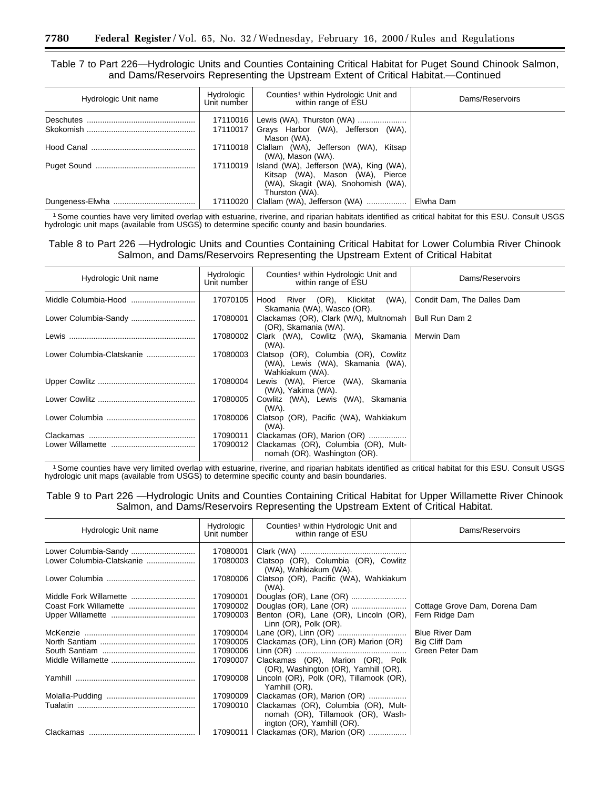Table 7 to Part 226—Hydrologic Units and Counties Containing Critical Habitat for Puget Sound Chinook Salmon, and Dams/Reservoirs Representing the Upstream Extent of Critical Habitat.—Continued

| Hydrologic Unit name | Hydrologic<br>Unit number | Counties <sup>1</sup> within Hydrologic Unit and<br>within range of ESU                                                            | Dams/Reservoirs |
|----------------------|---------------------------|------------------------------------------------------------------------------------------------------------------------------------|-----------------|
|                      | 17110016<br>17110017      | Lewis (WA), Thurston (WA)<br>Grays Harbor (WA), Jefferson (WA),<br>Mason (WA).                                                     |                 |
|                      | 17110018                  | Clallam (WA), Jefferson (WA), Kitsap<br>(WA), Mason (WA).                                                                          |                 |
|                      | 17110019                  | Island (WA), Jefferson (WA), King (WA),<br>Kitsap (WA), Mason (WA), Pierce<br>(WA), Skagit (WA), Snohomish (WA),<br>Thurston (WA). |                 |
|                      | 17110020                  | Clallam (WA), Jefferson (WA)                                                                                                       | Elwha Dam       |

1Some counties have very limited overlap with estuarine, riverine, and riparian habitats identified as critical habitat for this ESU. Consult USGS hydrologic unit maps (available from USGS) to determine specific county and basin boundaries.

Table 8 to Part 226 —Hydrologic Units and Counties Containing Critical Habitat for Lower Columbia River Chinook Salmon, and Dams/Reservoirs Representing the Upstream Extent of Critical Habitat

| Hydrologic Unit name      | Hydrologic<br>Unit number | Counties <sup>1</sup> within Hydrologic Unit and<br>within range of ESU                     | Dams/Reservoirs            |
|---------------------------|---------------------------|---------------------------------------------------------------------------------------------|----------------------------|
|                           | 17070105                  | Hood River (OR), Klickitat<br>(WA).<br>Skamania (WA), Wasco (OR).                           | Condit Dam, The Dalles Dam |
| Lower Columbia-Sandy      | 17080001                  | Clackamas (OR), Clark (WA), Multnomah  <br>(OR), Skamania (WA).                             | Bull Run Dam 2             |
|                           | 17080002                  | Clark (WA), Cowlitz (WA), Skamania<br>(WA).                                                 | Merwin Dam                 |
| Lower Columbia-Clatskanie | 17080003                  | Clatsop (OR), Columbia (OR), Cowlitz<br>(WA), Lewis (WA), Skamania (WA),<br>Wahkiakum (WA). |                            |
|                           | 17080004                  | Lewis (WA), Pierce (WA), Skamania<br>(WA), Yakima (WA).                                     |                            |
|                           | 17080005                  | Cowlitz (WA), Lewis (WA), Skamania<br>(WA).                                                 |                            |
|                           | 17080006                  | Clatsop (OR), Pacific (WA), Wahkiakum<br>(WA).                                              |                            |
|                           | 17090011                  | Clackamas (OR), Marion (OR)                                                                 |                            |
| Lower Willamette          | 17090012                  | Clackamas (OR), Columbia (OR), Mult-<br>nomah (OR), Washington (OR).                        |                            |

1Some counties have very limited overlap with estuarine, riverine, and riparian habitats identified as critical habitat for this ESU. Consult USGS hydrologic unit maps (available from USGS) to determine specific county and basin boundaries.

Table 9 to Part 226 —Hydrologic Units and Counties Containing Critical Habitat for Upper Willamette River Chinook Salmon, and Dams/Reservoirs Representing the Upstream Extent of Critical Habitat.

| Hydrologic Unit name      | Hydrologic<br>Unit number | Counties <sup>1</sup> within Hydrologic Unit and<br>within range of ESU                                 | Dams/Reservoirs               |
|---------------------------|---------------------------|---------------------------------------------------------------------------------------------------------|-------------------------------|
| Lower Columbia-Sandy      | 17080001                  |                                                                                                         |                               |
| Lower Columbia-Clatskanie | 17080003                  | Clatsop (OR), Columbia (OR), Cowlitz<br>(WA), Wahkiakum (WA).                                           |                               |
|                           | 17080006                  | Clatsop (OR), Pacific (WA), Wahkiakum<br>(WA).                                                          |                               |
|                           | 17090001                  |                                                                                                         |                               |
|                           | 17090002                  |                                                                                                         | Cottage Grove Dam, Dorena Dam |
|                           | 17090003                  | Benton (OR), Lane (OR), Lincoln (OR),<br>Linn (OR), Polk (OR).                                          | Fern Ridge Dam                |
|                           | 17090004                  |                                                                                                         | <b>Blue River Dam</b>         |
|                           | 17090005                  | Clackamas (OR), Linn (OR) Marion (OR)                                                                   | Big Cliff Dam                 |
|                           | 17090006                  |                                                                                                         | Green Peter Dam               |
|                           | 17090007                  | Clackamas (OR), Marion (OR), Polk<br>(OR), Washington (OR), Yamhill (OR).                               |                               |
|                           | 17090008                  | Lincoln (OR), Polk (OR), Tillamook (OR),<br>Yamhill (OR).                                               |                               |
|                           | 17090009                  | Clackamas (OR), Marion (OR)                                                                             |                               |
|                           | 17090010                  | Clackamas (OR), Columbia (OR), Mult-<br>nomah (OR), Tillamook (OR), Wash-<br>ington (OR), Yamhill (OR). |                               |
|                           |                           | 17090011   Clackamas (OR), Marion (OR)                                                                  |                               |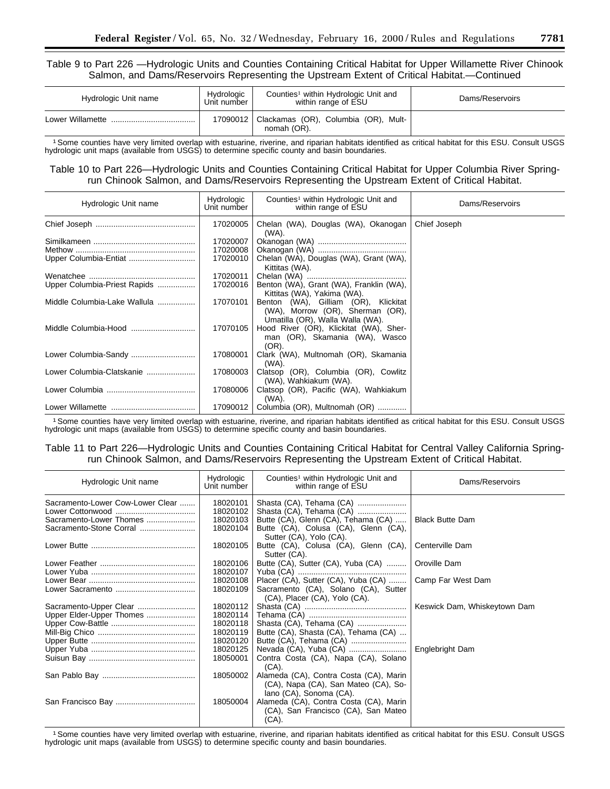Table 9 to Part 226 —Hydrologic Units and Counties Containing Critical Habitat for Upper Willamette River Chinook Salmon, and Dams/Reservoirs Representing the Upstream Extent of Critical Habitat.—Continued

| Hydrologic Unit name | Hydrologic<br>Unit number | Counties <sup>1</sup> within Hydrologic Unit and<br>within range of ESU | Dams/Reservoirs |
|----------------------|---------------------------|-------------------------------------------------------------------------|-----------------|
| Lower Willamette     | 17090012丨                 | Clackamas (OR), Columbia (OR), Mult-<br>nomah (OR).                     |                 |

1Some counties have very limited overlap with estuarine, riverine, and riparian habitats identified as critical habitat for this ESU. Consult USGS hydrologic unit maps (available from USGS) to determine specific county and basin boundaries.

# Table 10 to Part 226—Hydrologic Units and Counties Containing Critical Habitat for Upper Columbia River Springrun Chinook Salmon, and Dams/Reservoirs Representing the Upstream Extent of Critical Habitat.

| Hydrologic Unit name         | Hydrologic<br>Unit number | Counties <sup>1</sup> within Hydrologic Unit and<br>within range of ESU                                      | Dams/Reservoirs |
|------------------------------|---------------------------|--------------------------------------------------------------------------------------------------------------|-----------------|
|                              | 17020005                  | Chelan (WA), Douglas (WA), Okanogan<br>(WA).                                                                 | Chief Joseph    |
|                              | 17020007                  |                                                                                                              |                 |
|                              | 17020008                  |                                                                                                              |                 |
| Upper Columbia-Entiat        | 17020010                  | Chelan (WA), Douglas (WA), Grant (WA),<br>Kittitas (WA).                                                     |                 |
|                              | 17020011                  |                                                                                                              |                 |
| Upper Columbia-Priest Rapids | 17020016                  | Benton (WA), Grant (WA), Franklin (WA),<br>Kittitas (WA), Yakima (WA).                                       |                 |
| Middle Columbia-Lake Wallula | 17070101                  | Benton (WA), Gilliam (OR), Klickitat<br>(WA), Morrow (OR), Sherman (OR),<br>Umatilla (OR), Walla Walla (WA). |                 |
| Middle Columbia-Hood         | 17070105                  | Hood River (OR), Klickitat (WA), Sher-<br>man (OR), Skamania (WA), Wasco<br>$(OR)$ .                         |                 |
|                              | 17080001                  | Clark (WA), Multnomah (OR), Skamania<br>(WA).                                                                |                 |
| Lower Columbia-Clatskanie    | 17080003                  | Clatsop (OR), Columbia (OR), Cowlitz<br>(WA), Wahkiakum (WA).                                                |                 |
|                              | 17080006                  | Clatsop (OR), Pacific (WA), Wahkiakum<br>(WA).                                                               |                 |
|                              | 17090012                  | Columbia (OR), Multnomah (OR)                                                                                |                 |

1Some counties have very limited overlap with estuarine, riverine, and riparian habitats identified as critical habitat for this ESU. Consult USGS hydrologic unit maps (available from USGS) to determine specific county and basin boundaries.

# Table 11 to Part 226—Hydrologic Units and Counties Containing Critical Habitat for Central Valley California Springrun Chinook Salmon, and Dams/Reservoirs Representing the Upstream Extent of Critical Habitat.

| Hydrologic Unit name                                        | Hydrologic<br>Unit number        | Counties <sup>1</sup> within Hydrologic Unit and<br>within range of ESU                                   | Dams/Reservoirs              |
|-------------------------------------------------------------|----------------------------------|-----------------------------------------------------------------------------------------------------------|------------------------------|
| Sacramento-Lower Cow-Lower Clear<br>Sacramento-Lower Thomes | 18020101<br>18020102<br>18020103 | Shasta (CA), Tehama (CA)<br>Shasta (CA), Tehama (CA)<br>Butte (CA), Glenn (CA), Tehama (CA)               | <b>Black Butte Dam</b>       |
| Sacramento-Stone Corral                                     | 18020104                         | Butte (CA), Colusa (CA), Glenn (CA),<br>Sutter (CA), Yolo (CA).                                           |                              |
|                                                             | 18020105                         | Butte (CA), Colusa (CA), Glenn (CA),<br>Sutter (CA).                                                      | Centerville Dam              |
|                                                             | 18020106<br>18020107             | Butte (CA), Sutter (CA), Yuba (CA)                                                                        | Oroville Dam                 |
|                                                             | 18020108<br>18020109             | Placer (CA), Sutter (CA), Yuba (CA)<br>Sacramento (CA), Solano (CA), Sutter                               | Camp Far West Dam            |
|                                                             | 18020112                         | (CA), Placer (CA), Yolo (CA).                                                                             | Keswick Dam, Whiskeytown Dam |
| Upper Elder-Upper Thomes                                    | 18020114<br>18020118             | Shasta (CA), Tehama (CA)                                                                                  |                              |
|                                                             | 18020119<br>18020120             | Butte (CA), Shasta (CA), Tehama (CA)                                                                      |                              |
|                                                             | 18020125<br>18050001             | Contra Costa (CA), Napa (CA), Solano<br>(CA).                                                             | Englebright Dam              |
|                                                             | 18050002                         | Alameda (CA), Contra Costa (CA), Marin<br>(CA), Napa (CA), San Mateo (CA), So-<br>lano (CA), Sonoma (CA). |                              |
|                                                             | 18050004                         | Alameda (CA), Contra Costa (CA), Marin<br>(CA), San Francisco (CA), San Mateo<br>$(CA)$ .                 |                              |

1Some counties have very limited overlap with estuarine, riverine, and riparian habitats identified as critical habitat for this ESU. Consult USGS hydrologic unit maps (available from USGS) to determine specific county and basin boundaries.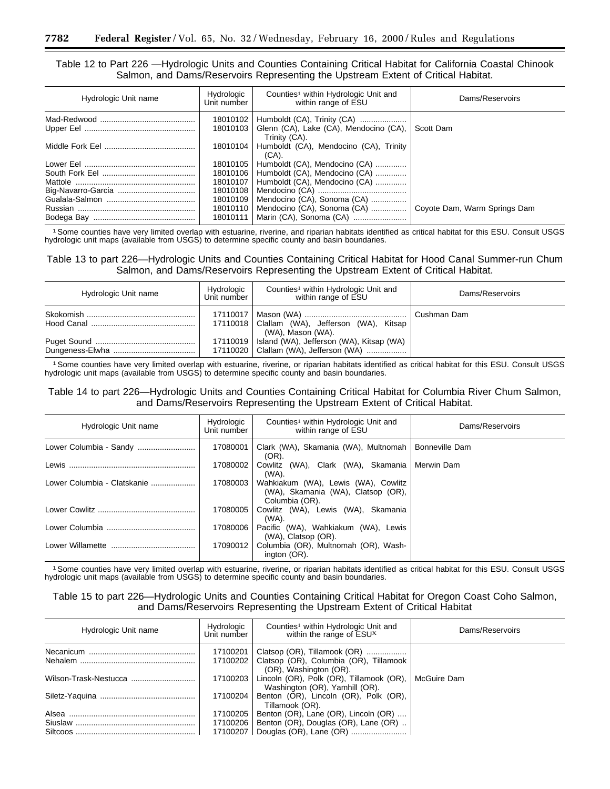Table 12 to Part 226 —Hydrologic Units and Counties Containing Critical Habitat for California Coastal Chinook Salmon, and Dams/Reservoirs Representing the Upstream Extent of Critical Habitat.

| Hydrologic Unit name | Hydrologic<br>Unit number | Counties <sup>1</sup> within Hydrologic Unit and<br>within range of ESU                | Dams/Reservoirs              |
|----------------------|---------------------------|----------------------------------------------------------------------------------------|------------------------------|
|                      | 18010102<br>18010103      | Humboldt (CA), Trinity (CA)<br>Glenn (CA), Lake (CA), Mendocino (CA),<br>Trinity (CA). | Scott Dam                    |
|                      |                           | 18010104   Humboldt (CA), Mendocino (CA), Trinity<br>$(CA)$ .                          |                              |
|                      | 18010105                  | Humboldt (CA), Mendocino (CA)                                                          |                              |
|                      | 18010106                  | Humboldt (CA), Mendocino (CA)                                                          |                              |
|                      | 18010107                  | Humboldt (CA), Mendocino (CA)                                                          |                              |
|                      | 18010108                  |                                                                                        |                              |
|                      | 18010109                  | Mendocino (CA), Sonoma (CA)                                                            |                              |
| Russian              | 18010110                  | Mendocino (CA), Sonoma (CA)                                                            | Coyote Dam, Warm Springs Dam |
| Bodega Bay           | 18010111                  |                                                                                        |                              |

1Some counties have very limited overlap with estuarine, riverine, and riparian habitats identified as critical habitat for this ESU. Consult USGS hydrologic unit maps (available from USGS) to determine specific county and basin boundaries.

Table 13 to part 226—Hydrologic Units and Counties Containing Critical Habitat for Hood Canal Summer-run Chum Salmon, and Dams/Reservoirs Representing the Upstream Extent of Critical Habitat.

| Hydrologic Unit name | Hydrologic<br>Unit number | Counties <sup>1</sup> within Hydrologic Unit and<br>within range of ESU                        | Dams/Reservoirs |
|----------------------|---------------------------|------------------------------------------------------------------------------------------------|-----------------|
|                      |                           | 17110018   Clallam (WA), Jefferson (WA), Kitsap<br>(WA), Mason (WA).                           | Cushman Dam     |
|                      |                           | 17110019   Island (WA), Jefferson (WA), Kitsap (WA)<br>17110020   Clallam (WA), Jefferson (WA) |                 |

1Some counties have very limited overlap with estuarine, riverine, or riparian habitats identified as critical habitat for this ESU. Consult USGS hydrologic unit maps (available from USGS) to determine specific county and basin boundaries.

Table 14 to part 226—Hydrologic Units and Counties Containing Critical Habitat for Columbia River Chum Salmon, and Dams/Reservoirs Representing the Upstream Extent of Critical Habitat.

| Hydrologic Unit name        | Hydrologic<br>Unit number | Counties <sup>1</sup> within Hydrologic Unit and<br>within range of ESU                     | Dams/Reservoirs       |
|-----------------------------|---------------------------|---------------------------------------------------------------------------------------------|-----------------------|
| Lower Columbia - Sandy      | 17080001                  | Clark (WA), Skamania (WA), Multnomah<br>(OR).                                               | <b>Bonneville Dam</b> |
| Lewis                       | 17080002                  | Cowlitz (WA), Clark (WA), Skamania<br>(WA).                                                 | Merwin Dam            |
| Lower Columbia - Clatskanie | 17080003                  | Wahkiakum (WA), Lewis (WA), Cowlitz<br>(WA), Skamania (WA), Clatsop (OR),<br>Columbia (OR). |                       |
| Lower Cowlitz               | 17080005                  | Cowlitz (WA), Lewis (WA), Skamania<br>(WA).                                                 |                       |
|                             | 17080006                  | Pacific (WA), Wahkiakum (WA), Lewis<br>(WA), Clatsop (OR).                                  |                       |
| Lower Willamette            | 17090012                  | Columbia (OR), Multnomah (OR), Wash-<br>ington (OR).                                        |                       |

1Some counties have very limited overlap with estuarine, riverine, or riparian habitats identified as critical habitat for this ESU. Consult USGS hydrologic unit maps (available from USGS) to determine specific county and basin boundaries.

# Table 15 to part 226—Hydrologic Units and Counties Containing Critical Habitat for Oregon Coast Coho Salmon, and Dams/Reservoirs Representing the Upstream Extent of Critical Habitat

| Hydrologic Unit name  | Hydrologic<br>Unit number | Counties <sup>1</sup> within Hydrologic Unit and<br>within the range of ESUx                     | Dams/Reservoirs |
|-----------------------|---------------------------|--------------------------------------------------------------------------------------------------|-----------------|
| Necanicum<br>Nehalem  | 17100201<br>17100202      | Clatsop (OR), Tillamook (OR)<br>Clatsop (OR), Columbia (OR), Tillamook<br>(OR), Washington (OR). |                 |
| Wilson-Trask-Nestucca | 17100203                  | Lincoln (OR), Polk (OR), Tillamook (OR),<br>Washington (OR), Yamhill (OR).                       | McGuire Dam     |
|                       | 17100204                  | Benton (OR), Lincoln (OR), Polk (OR),<br>Tillamook (OR).                                         |                 |
|                       | 17100205                  | Benton (OR), Lane (OR), Lincoln (OR)                                                             |                 |
| Siuslaw<br>Siltcoos   | 17100206<br>17100207      | Benton (OR), Douglas (OR), Lane (OR)<br>Douglas (OR), Lane (OR)                                  |                 |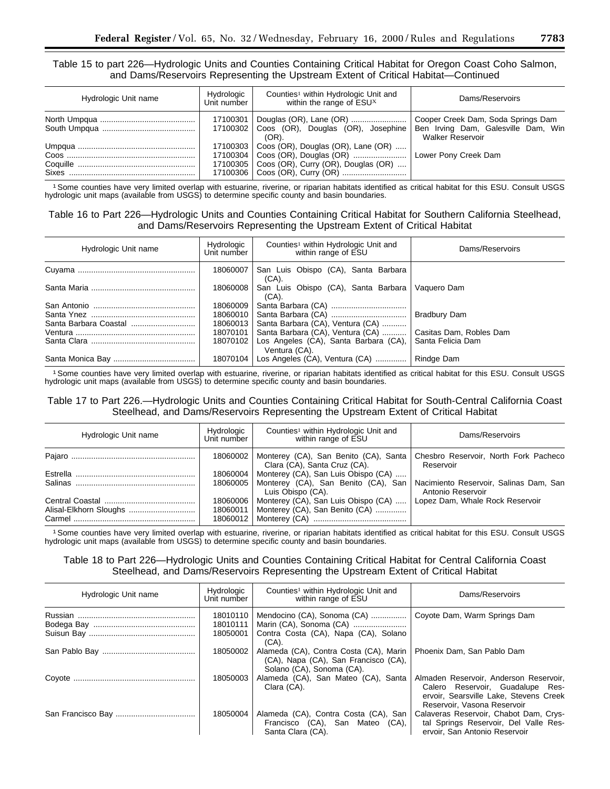Table 15 to part 226—Hydrologic Units and Counties Containing Critical Habitat for Oregon Coast Coho Salmon, and Dams/Reservoirs Representing the Upstream Extent of Critical Habitat—Continued

| Hydrologic Unit name | Hydrologic<br>Unit number | Counties <sup>1</sup> within Hydrologic Unit and<br>within the range of ESU <sup>X</sup>        | Dams/Reservoirs                                                                                      |
|----------------------|---------------------------|-------------------------------------------------------------------------------------------------|------------------------------------------------------------------------------------------------------|
|                      |                           | 17100301   Douglas (OR), Lane (OR)<br>17100302   Coos (OR), Douglas (OR), Josephine<br>$(OR)$ . | Cooper Creek Dam, Soda Springs Dam<br>Ben Irving Dam, Galesville Dam, Win<br><b>Walker Reservoir</b> |
|                      |                           | 17100303   Coos (OR), Douglas (OR), Lane (OR)<br>17100305   Coos (OR), Curry (OR), Douglas (OR) | Lower Pony Creek Dam                                                                                 |

1Some counties have very limited overlap with estuarine, riverine, or riparian habitats identified as critical habitat for this ESU. Consult USGS hydrologic unit maps (available from USGS) to determine specific county and basin boundaries.

# Table 16 to Part 226—Hydrologic Units and Counties Containing Critical Habitat for Southern California Steelhead, and Dams/Reservoirs Representing the Upstream Extent of Critical Habitat

| Hydrologic Unit name | Hydrologic<br>Unit number | Counties <sup>1</sup> within Hydrologic Unit and<br>within range of ESU | Dams/Reservoirs         |
|----------------------|---------------------------|-------------------------------------------------------------------------|-------------------------|
|                      | 18060007                  | San Luis Obispo (CA), Santa Barbara<br>$(CA)$ .                         |                         |
|                      | 18060008                  | San Luis Obispo (CA), Santa Barbara<br>$(CA)$ .                         | Vaguero Dam             |
|                      | 18060009                  |                                                                         |                         |
|                      | 18060010                  |                                                                         | Bradbury Dam            |
|                      | 18060013                  | Santa Barbara (CA), Ventura (CA)                                        |                         |
|                      | 18070101                  | Santa Barbara (CA), Ventura (CA)                                        | Casitas Dam, Robles Dam |
|                      | 18070102                  | Los Angeles (CA), Santa Barbara (CA),<br>Ventura (CA).                  | Santa Felicia Dam       |
|                      | 18070104                  | Los Angeles $(CA)$ , Ventura $(CA)$                                     | Rindge Dam              |

1Some counties have very limited overlap with estuarine, riverine, or riparian habitats identified as critical habitat for this ESU. Consult USGS hydrologic unit maps (available from USGS) to determine specific county and basin boundaries.

Table 17 to Part 226.—Hydrologic Units and Counties Containing Critical Habitat for South-Central California Coast Steelhead, and Dams/Reservoirs Representing the Upstream Extent of Critical Habitat

| Hydrologic Unit name | Hydrologic<br>Unit number | Counties <sup>1</sup> within Hydrologic Unit and<br>within range of ESU                                               | Dams/Reservoirs                                             |
|----------------------|---------------------------|-----------------------------------------------------------------------------------------------------------------------|-------------------------------------------------------------|
|                      |                           | 18060002   Monterey (CA), San Benito (CA), Santa<br>Clara (CA), Santa Cruz (CA).                                      | Chesbro Reservoir, North Fork Pacheco<br>Reservoir          |
|                      |                           | 18060004   Monterey (CA), San Luis Obispo (CA)<br>18060005   Monterey (CA), San Benito (CA), San<br>Luis Obispo (CA). | Nacimiento Reservoir, Salinas Dam, San<br>Antonio Reservoir |
| Carmel               | 18060011                  | 18060006   Monterey (CA), San Luis Obispo (CA)<br>Monterey (CA), San Benito (CA)                                      | Lopez Dam, Whale Rock Reservoir                             |

1Some counties have very limited overlap with estuarine, riverine, or riparian habitats identified as critical habitat for this ESU. Consult USGS hydrologic unit maps (available from USGS) to determine specific county and basin boundaries.

# Table 18 to Part 226—Hydrologic Units and Counties Containing Critical Habitat for Central California Coast Steelhead, and Dams/Reservoirs Representing the Upstream Extent of Critical Habitat

| Hydrologic Unit name | Hydrologic<br>Unit number        | Counties <sup>1</sup> within Hydrologic Unit and<br>within range of ESU                                     | Dams/Reservoirs                                                                                                                                     |
|----------------------|----------------------------------|-------------------------------------------------------------------------------------------------------------|-----------------------------------------------------------------------------------------------------------------------------------------------------|
|                      | 18010110<br>18010111<br>18050001 | Mendocino (CA), Sonoma (CA)<br>Marin (CA), Sonoma (CA)<br>Contra Costa (CA), Napa (CA), Solano<br>(CA).     | Coyote Dam, Warm Springs Dam                                                                                                                        |
|                      | 18050002                         | Alameda (CA), Contra Costa (CA), Marin<br>(CA), Napa (CA), San Francisco (CA),<br>Solano (CA), Sonoma (CA). | Phoenix Dam, San Pablo Dam                                                                                                                          |
|                      | 18050003                         | Alameda (CA), San Mateo (CA), Santa<br>Clara (CA).                                                          | Almaden Reservoir, Anderson Reservoir,<br>Calero Reservoir. Guadalupe Res-<br>ervoir, Searsville Lake, Stevens Creek<br>Reservoir, Vasona Reservoir |
|                      | 18050004                         | Alameda (CA), Contra Costa (CA), San<br>Francisco (CA), San Mateo (CA),<br>Santa Clara (CA).                | Calaveras Reservoir, Chabot Dam, Crys-<br>tal Springs Reservoir, Del Valle Res-<br>ervoir, San Antonio Reservoir                                    |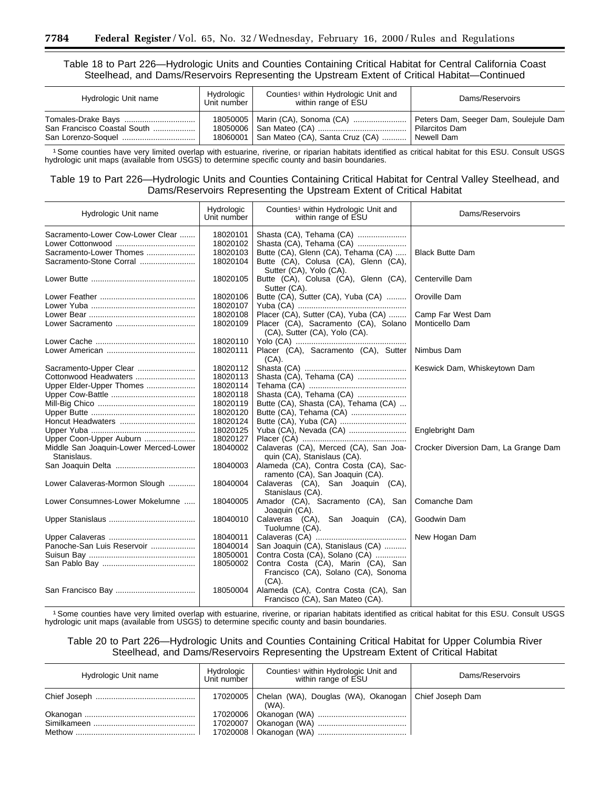# Table 18 to Part 226—Hydrologic Units and Counties Containing Critical Habitat for Central California Coast Steelhead, and Dams/Reservoirs Representing the Upstream Extent of Critical Habitat—Continued

| Hydrologic Unit name        | Hydrologic<br>Unit number | Counties <sup>1</sup> within Hydrologic Unit and<br>within range of ESU | Dams/Reservoirs                       |
|-----------------------------|---------------------------|-------------------------------------------------------------------------|---------------------------------------|
|                             |                           | 18050005   Marin (CA), Sonoma (CA)                                      | Peters Dam, Seeger Dam, Soulejule Dam |
| San Francisco Coastal South |                           |                                                                         | Pilarcitos Dam                        |
|                             |                           | 18060001   San Mateo (CA), Santa Cruz (CA)                              | Newell Dam                            |

1Some counties have very limited overlap with estuarine, riverine, or riparian habitats identified as critical habitat for this ESU. Consult USGS hydrologic unit maps (available from USGS) to determine specific county and basin boundaries.

# Table 19 to Part 226—Hydrologic Units and Counties Containing Critical Habitat for Central Valley Steelhead, and Dams/Reservoirs Representing the Upstream Extent of Critical Habitat

| Hydrologic Unit name                  | Hydrologic<br>Unit number | Counties <sup>1</sup> within Hydrologic Unit and<br>within range of ESU | Dams/Reservoirs                      |
|---------------------------------------|---------------------------|-------------------------------------------------------------------------|--------------------------------------|
| Sacramento-Lower Cow-Lower Clear      | 18020101                  | Shasta (CA), Tehama (CA)                                                |                                      |
|                                       | 18020102                  | Shasta (CA), Tehama (CA)                                                |                                      |
| Sacramento-Lower Thomes               | 18020103                  | Butte (CA), Glenn (CA), Tehama (CA)                                     | <b>Black Butte Dam</b>               |
| Sacramento-Stone Corral               | 18020104                  | Butte (CA), Colusa (CA), Glenn (CA),                                    |                                      |
|                                       |                           | Sutter (CA), Yolo (CA).                                                 |                                      |
|                                       | 18020105                  | Butte (CA), Colusa (CA), Glenn (CA),<br>Sutter (CA).                    | Centerville Dam                      |
|                                       | 18020106                  | Butte (CA), Sutter (CA), Yuba (CA)                                      | Oroville Dam                         |
|                                       | 18020107                  |                                                                         |                                      |
|                                       | 18020108                  | Placer (CA), Sutter (CA), Yuba (CA)                                     | Camp Far West Dam                    |
|                                       | 18020109                  | Placer (CA), Sacramento (CA), Solano                                    | Monticello Dam                       |
|                                       |                           | (CA), Sutter (CA), Yolo (CA).                                           |                                      |
|                                       | 18020110                  |                                                                         |                                      |
|                                       | 18020111                  | Placer (CA), Sacramento (CA), Sutter                                    | Nimbus Dam                           |
|                                       |                           | (CA).                                                                   |                                      |
| Sacramento-Upper Clear                | 18020112                  |                                                                         | Keswick Dam, Whiskeytown Dam         |
| Cottonwood Headwaters                 | 18020113                  | Shasta (CA), Tehama (CA)                                                |                                      |
| Upper Elder-Upper Thomes              | 18020114                  |                                                                         |                                      |
|                                       | 18020118                  | Shasta (CA), Tehama (CA)                                                |                                      |
|                                       | 18020119                  | Butte (CA), Shasta (CA), Tehama (CA)                                    |                                      |
|                                       | 18020120                  | Butte (CA), Tehama (CA)                                                 |                                      |
|                                       | 18020124                  |                                                                         |                                      |
|                                       | 18020125                  | Yuba (CA), Nevada (CA)                                                  | Englebright Dam                      |
|                                       | 18020127                  |                                                                         |                                      |
| Upper Coon-Upper Auburn               | 18040002                  |                                                                         |                                      |
| Middle San Joaquin-Lower Merced-Lower |                           | Calaveras (CA), Merced (CA), San Joa-                                   | Crocker Diversion Dam, La Grange Dam |
| Stanislaus.                           | 18040003                  | quin (CA), Stanislaus (CA).                                             |                                      |
|                                       |                           | Alameda (CA), Contra Costa (CA), Sac-                                   |                                      |
|                                       | 18040004                  | ramento (CA), San Joaquin (CA).                                         |                                      |
| Lower Calaveras-Mormon Slough         |                           | Calaveras (CA), San Joaquin (CA),                                       |                                      |
|                                       |                           | Stanislaus (CA).                                                        |                                      |
| Lower Consumnes-Lower Mokelumne       | 18040005                  | Amador (CA), Sacramento (CA), San                                       | Comanche Dam                         |
|                                       |                           | Joaquin (CA).                                                           |                                      |
|                                       | 18040010                  | Calaveras (CA),<br>San Joaquin (CA),                                    | Goodwin Dam                          |
|                                       |                           | Tuolumne (CA).                                                          |                                      |
|                                       | 18040011                  |                                                                         | New Hogan Dam                        |
| Panoche-San Luis Reservoir            | 18040014                  | San Joaquin (CA), Stanislaus (CA)                                       |                                      |
|                                       | 18050001                  | Contra Costa (CA), Solano (CA)                                          |                                      |
|                                       | 18050002                  | Contra Costa (CA), Marin (CA), San                                      |                                      |
|                                       |                           | Francisco (CA), Solano (CA), Sonoma                                     |                                      |
|                                       |                           | $(CA)$ .                                                                |                                      |
|                                       | 18050004                  | Alameda (CA), Contra Costa (CA), San                                    |                                      |
|                                       |                           | Francisco (CA), San Mateo (CA).                                         |                                      |

1Some counties have very limited overlap with estuarine, riverine, or riparian habitats identified as critical habitat for this ESU. Consult USGS hydrologic unit maps (available from USGS) to determine specific county and basin boundaries.

# Table 20 to Part 226—Hydrologic Units and Counties Containing Critical Habitat for Upper Columbia River Steelhead, and Dams/Reservoirs Representing the Upstream Extent of Critical Habitat

| Hydrologic Unit name | Hydrologic<br>Unit number | Counties <sup>1</sup> within Hydrologic Unit and<br>within range of ESU    | Dams/Reservoirs |
|----------------------|---------------------------|----------------------------------------------------------------------------|-----------------|
|                      |                           | 17020005   Chelan (WA), Douglas (WA), Okanogan   Chief Joseph Dam<br>(WA). |                 |
|                      |                           |                                                                            |                 |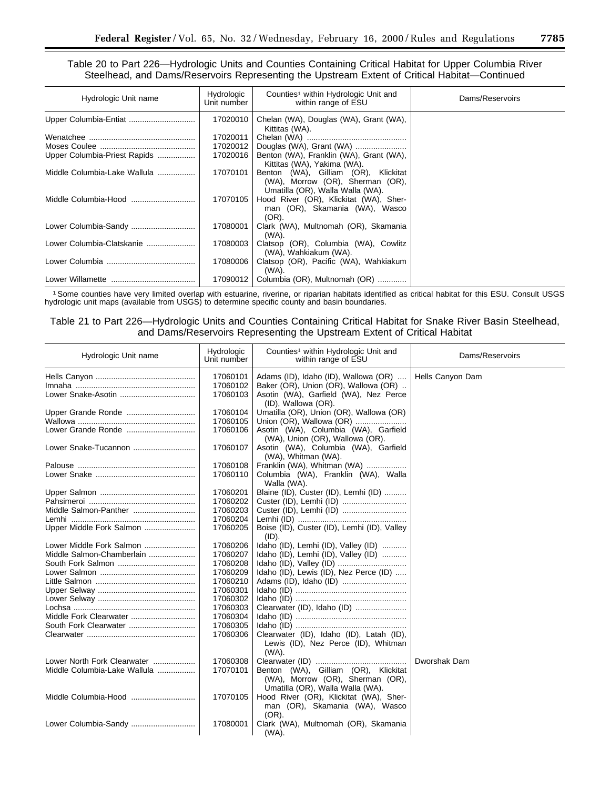Table 20 to Part 226—Hydrologic Units and Counties Containing Critical Habitat for Upper Columbia River Steelhead, and Dams/Reservoirs Representing the Upstream Extent of Critical Habitat—Continued

| Hydrologic Unit name         | Hydrologic<br>Unit number | Counties <sup>1</sup> within Hydrologic Unit and<br>within range of ESU                                      | Dams/Reservoirs |
|------------------------------|---------------------------|--------------------------------------------------------------------------------------------------------------|-----------------|
| Upper Columbia-Entiat        | 17020010                  | Chelan (WA), Douglas (WA), Grant (WA),<br>Kittitas (WA).                                                     |                 |
|                              | 17020011                  |                                                                                                              |                 |
|                              | 17020012                  | Douglas (WA), Grant (WA)                                                                                     |                 |
| Upper Columbia-Priest Rapids | 17020016                  | Benton (WA), Franklin (WA), Grant (WA),<br>Kittitas (WA), Yakima (WA).                                       |                 |
| Middle Columbia-Lake Wallula | 17070101                  | Benton (WA), Gilliam (OR), Klickitat<br>(WA), Morrow (OR), Sherman (OR),<br>Umatilla (OR), Walla Walla (WA). |                 |
| Middle Columbia-Hood         | 17070105                  | Hood River (OR), Klickitat (WA), Sher-<br>man (OR), Skamania (WA), Wasco<br>(OR).                            |                 |
|                              | 17080001                  | Clark (WA), Multnomah (OR), Skamania<br>(WA).                                                                |                 |
| Lower Columbia-Clatskanie    | 17080003                  | Clatsop (OR), Columbia (WA), Cowlitz<br>(WA), Wahkiakum (WA).                                                |                 |
| Lower Columbia.              | 17080006                  | Clatsop (OR), Pacific (WA), Wahkiakum<br>(WA).                                                               |                 |
|                              | 17090012                  | Columbia (OR), Multnomah (OR)                                                                                |                 |

1Some counties have very limited overlap with estuarine, riverine, or riparian habitats identified as critical habitat for this ESU. Consult USGS hydrologic unit maps (available from USGS) to determine specific county and basin boundaries.

Table 21 to Part 226—Hydrologic Units and Counties Containing Critical Habitat for Snake River Basin Steelhead, and Dams/Reservoirs Representing the Upstream Extent of Critical Habitat

| Hydrologic Unit name         | Hydrologic<br>Unit number | Counties <sup>1</sup> within Hydrologic Unit and<br>within range of ESU | Dams/Reservoirs  |
|------------------------------|---------------------------|-------------------------------------------------------------------------|------------------|
|                              | 17060101                  | Adams (ID), Idaho (ID), Wallowa (OR)                                    | Hells Canyon Dam |
|                              | 17060102                  | Baker (OR), Union (OR), Wallowa (OR)                                    |                  |
|                              | 17060103                  | Asotin (WA), Garfield (WA), Nez Perce                                   |                  |
|                              |                           | (ID), Wallowa (OR).                                                     |                  |
| Upper Grande Ronde           | 17060104                  | Umatilla (OR), Union (OR), Wallowa (OR)                                 |                  |
|                              | 17060105                  | Union (OR), Wallowa (OR)                                                |                  |
|                              | 17060106                  | Asotin (WA), Columbia (WA), Garfield                                    |                  |
|                              |                           | (WA), Union (OR), Wallowa (OR).                                         |                  |
| Lower Snake-Tucannon         | 17060107                  | Asotin (WA), Columbia (WA), Garfield                                    |                  |
|                              |                           | (WA), Whitman (WA).                                                     |                  |
|                              | 17060108                  | Franklin (WA), Whitman (WA)                                             |                  |
|                              | 17060110                  | Columbia (WA), Franklin (WA), Walla                                     |                  |
|                              |                           | Walla (WA).                                                             |                  |
|                              | 17060201                  | Blaine (ID), Custer (ID), Lemhi (ID)                                    |                  |
|                              | 17060202                  |                                                                         |                  |
| Middle Salmon-Panther        | 17060203                  |                                                                         |                  |
|                              | 17060204                  |                                                                         |                  |
| Upper Middle Fork Salmon     | 17060205                  | Boise (ID), Custer (ID), Lemhi (ID), Valley                             |                  |
|                              |                           | (ID).                                                                   |                  |
| Lower Middle Fork Salmon     | 17060206                  | Idaho (ID), Lemhi (ID), Valley (ID)                                     |                  |
| Middle Salmon-Chamberlain    | 17060207                  | Idaho (ID), Lemhi (ID), Valley (ID)                                     |                  |
|                              | 17060208                  |                                                                         |                  |
|                              | 17060209                  | Idaho (ID), Lewis (ID), Nez Perce (ID)                                  |                  |
|                              | 17060210                  |                                                                         |                  |
|                              | 17060301                  |                                                                         |                  |
|                              | 17060302                  |                                                                         |                  |
|                              | 17060303                  | Clearwater (ID), Idaho (ID)                                             |                  |
|                              | 17060304<br>17060305      |                                                                         |                  |
|                              | 17060306                  |                                                                         |                  |
|                              |                           | Clearwater (ID), Idaho (ID), Latah (ID),                                |                  |
|                              |                           | Lewis (ID), Nez Perce (ID), Whitman<br>$(WA)$ .                         |                  |
| Lower North Fork Clearwater  | 17060308                  |                                                                         | Dworshak Dam     |
| Middle Columbia-Lake Wallula | 17070101                  | Benton (WA), Gilliam (OR), Klickitat                                    |                  |
|                              |                           | (WA), Morrow (OR), Sherman (OR),                                        |                  |
|                              |                           | Umatilla (OR), Walla Walla (WA).                                        |                  |
| Middle Columbia-Hood         | 17070105                  | Hood River (OR), Klickitat (WA), Sher-                                  |                  |
|                              |                           | man (OR), Skamania (WA), Wasco                                          |                  |
|                              |                           | (OR).                                                                   |                  |
|                              | 17080001                  | Clark (WA), Multnomah (OR), Skamania                                    |                  |
|                              |                           | (WA).                                                                   |                  |
|                              |                           |                                                                         |                  |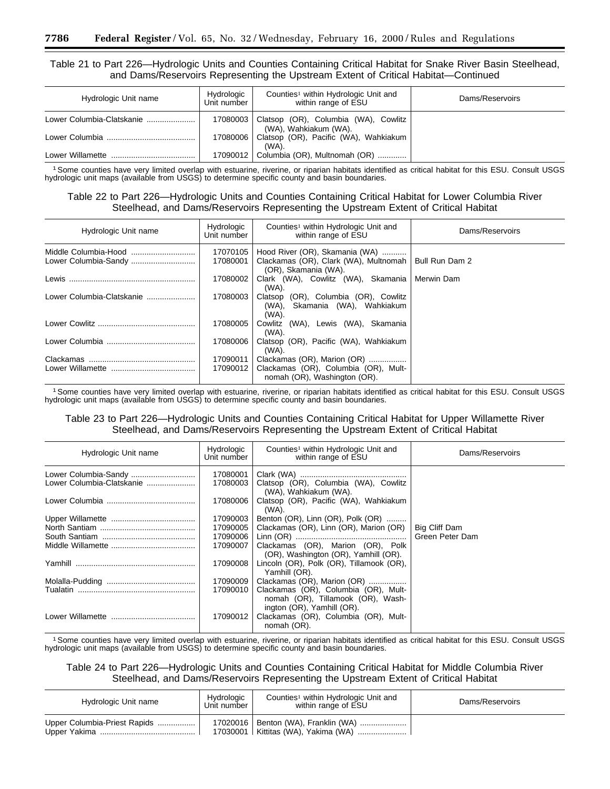# Table 21 to Part 226—Hydrologic Units and Counties Containing Critical Habitat for Snake River Basin Steelhead, and Dams/Reservoirs Representing the Upstream Extent of Critical Habitat—Continued

| Hydrologic Unit name      | Hydrologic<br>Unit number | Counties <sup>1</sup> within Hydrologic Unit and<br>within range of ESU  | Dams/Reservoirs |
|---------------------------|---------------------------|--------------------------------------------------------------------------|-----------------|
| Lower Columbia-Clatskanie |                           | 17080003   Clatsop (OR), Columbia (WA), Cowlitz<br>(WA), Wahkiakum (WA). |                 |
| Lower Columbia            |                           | 17080006   Clatsop (OR), Pacific (WA), Wahkiakum<br>(WA).                |                 |
| Lower Willamette          |                           | 17090012   Columbia (OR), Multnomah (OR)                                 |                 |

1Some counties have very limited overlap with estuarine, riverine, or riparian habitats identified as critical habitat for this ESU. Consult USGS hydrologic unit maps (available from USGS) to determine specific county and basin boundaries.

# Table 22 to Part 226—Hydrologic Units and Counties Containing Critical Habitat for Lower Columbia River Steelhead, and Dams/Reservoirs Representing the Upstream Extent of Critical Habitat

| Hydrologic Unit name          | Hydrologic<br>Unit number | Counties <sup>1</sup> within Hydrologic Unit and<br>within range of ESU                             | Dams/Reservoirs |
|-------------------------------|---------------------------|-----------------------------------------------------------------------------------------------------|-----------------|
| Lower Columbia-Sandy          | 17070105<br>17080001      | Hood River (OR), Skamania (WA)<br>Clackamas (OR), Clark (WA), Multnomah<br>(OR), Skamania (WA).     | Bull Run Dam 2  |
| Lewis                         | 17080002                  | Clark (WA), Cowlitz (WA), Skamania<br>(WA).                                                         | Merwin Dam      |
| Lower Columbia-Clatskanie     | 17080003                  | Clatsop (OR), Columbia (OR), Cowlitz<br>Skamania (WA), Wahkiakum<br>(WA).<br>(WA).                  |                 |
|                               | 17080005                  | Cowlitz (WA), Lewis (WA), Skamania<br>(WA).                                                         |                 |
|                               | 17080006                  | Clatsop (OR), Pacific (WA), Wahkiakum<br>(WA).                                                      |                 |
| Clackamas<br>Lower Willamette | 17090011<br>17090012      | Clackamas (OR), Marion (OR)<br>Clackamas (OR), Columbia (OR), Mult-<br>nomah (OR), Washington (OR). |                 |

1Some counties have very limited overlap with estuarine, riverine, or riparian habitats identified as critical habitat for this ESU. Consult USGS hydrologic unit maps (available from USGS) to determine specific county and basin boundaries.

# Table 23 to Part 226—Hydrologic Units and Counties Containing Critical Habitat for Upper Willamette River Steelhead, and Dams/Reservoirs Representing the Upstream Extent of Critical Habitat

| Hydrologic Unit name      | Hydrologic<br>Unit number | Counties <sup>1</sup> within Hydrologic Unit and<br>within range of ESU                                 | Dams/Reservoirs |
|---------------------------|---------------------------|---------------------------------------------------------------------------------------------------------|-----------------|
| Lower Columbia-Sandy      | 17080001                  |                                                                                                         |                 |
| Lower Columbia-Clatskanie | 17080003                  | Clatsop (OR), Columbia (WA), Cowlitz<br>(WA), Wahkiakum (WA).                                           |                 |
|                           | 17080006                  | Clatsop (OR), Pacific (WA), Wahkiakum<br>(WA).                                                          |                 |
|                           | 17090003                  | Benton (OR), Linn (OR), Polk (OR)                                                                       |                 |
|                           | 17090005                  | Clackamas (OR), Linn (OR), Marion (OR)                                                                  | Big Cliff Dam   |
|                           | 17090006                  |                                                                                                         | Green Peter Dam |
|                           | 17090007                  | Clackamas (OR), Marion (OR), Polk<br>(OR), Washington (OR), Yamhill (OR).                               |                 |
| Yamhill                   | 17090008                  | Lincoln (OR), Polk (OR), Tillamook (OR),<br>Yamhill (OR).                                               |                 |
|                           | 17090009                  | Clackamas (OR), Marion (OR)                                                                             |                 |
|                           | 17090010                  | Clackamas (OR), Columbia (OR), Mult-<br>nomah (OR), Tillamook (OR), Wash-<br>ington (OR), Yamhill (OR). |                 |
| Lower Willamette          | 17090012                  | Clackamas (OR), Columbia (OR), Mult-<br>nomah (OR).                                                     |                 |

1Some counties have very limited overlap with estuarine, riverine, or riparian habitats identified as critical habitat for this ESU. Consult USGS hydrologic unit maps (available from USGS) to determine specific county and basin boundaries.

Table 24 to Part 226—Hydrologic Units and Counties Containing Critical Habitat for Middle Columbia River Steelhead, and Dams/Reservoirs Representing the Upstream Extent of Critical Habitat

| Hydrologic Unit name         | Hydrologic<br>Unit number | Counties <sup>1</sup> within Hydrologic Unit and<br>within range of ESU        | Dams/Reservoirs |
|------------------------------|---------------------------|--------------------------------------------------------------------------------|-----------------|
| Upper Columbia-Priest Rapids |                           | 17020016   Benton (WA), Franklin (WA)<br>17030001   Kittitas (WA), Yakima (WA) |                 |